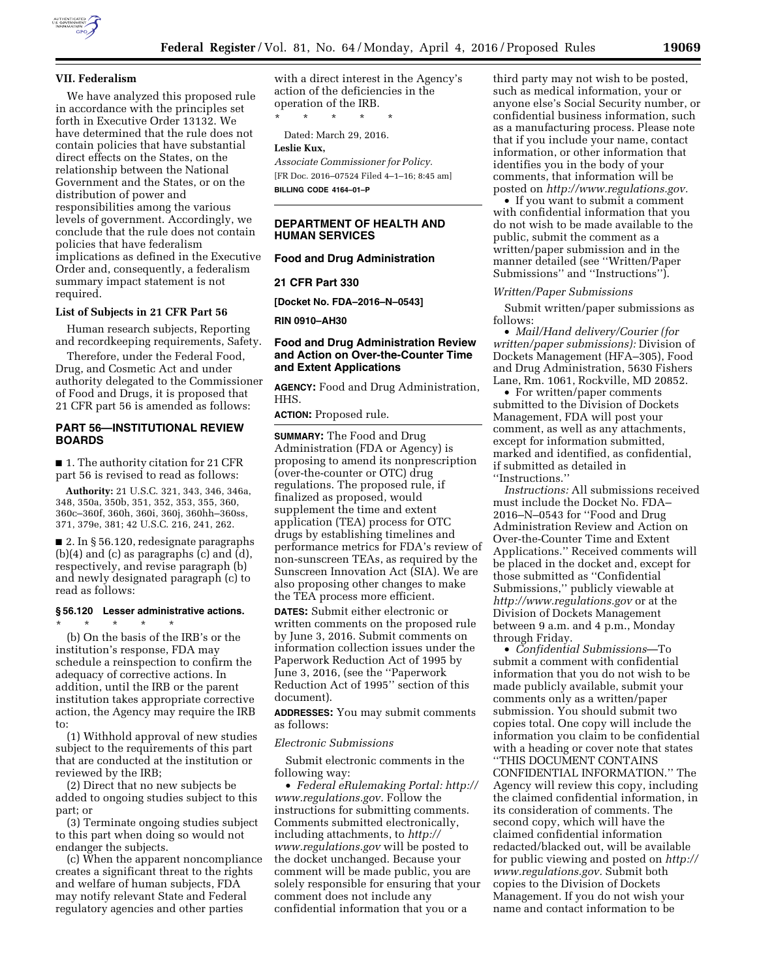

### **VII. Federalism**

We have analyzed this proposed rule in accordance with the principles set forth in Executive Order 13132. We have determined that the rule does not contain policies that have substantial direct effects on the States, on the relationship between the National Government and the States, or on the distribution of power and responsibilities among the various levels of government. Accordingly, we conclude that the rule does not contain policies that have federalism implications as defined in the Executive Order and, consequently, a federalism summary impact statement is not required.

## **List of Subjects in 21 CFR Part 56**

Human research subjects, Reporting and recordkeeping requirements, Safety.

Therefore, under the Federal Food, Drug, and Cosmetic Act and under authority delegated to the Commissioner of Food and Drugs, it is proposed that 21 CFR part 56 is amended as follows:

# **PART 56—INSTITUTIONAL REVIEW BOARDS**

■ 1. The authority citation for 21 CFR part 56 is revised to read as follows:

**Authority:** 21 U.S.C. 321, 343, 346, 346a, 348, 350a, 350b, 351, 352, 353, 355, 360, 360c–360f, 360h, 360i, 360j, 360hh–360ss, 371, 379e, 381; 42 U.S.C. 216, 241, 262.

■ 2. In § 56.120, redesignate paragraphs (b)(4) and (c) as paragraphs (c) and (d), respectively, and revise paragraph (b) and newly designated paragraph (c) to read as follows:

## **§ 56.120 Lesser administrative actions.**

\* \* \* \* \* (b) On the basis of the IRB's or the institution's response, FDA may schedule a reinspection to confirm the adequacy of corrective actions. In addition, until the IRB or the parent institution takes appropriate corrective action, the Agency may require the IRB to:

(1) Withhold approval of new studies subject to the requirements of this part that are conducted at the institution or reviewed by the IRB;

(2) Direct that no new subjects be added to ongoing studies subject to this part; or

(3) Terminate ongoing studies subject to this part when doing so would not endanger the subjects.

(c) When the apparent noncompliance creates a significant threat to the rights and welfare of human subjects, FDA may notify relevant State and Federal regulatory agencies and other parties

with a direct interest in the Agency's action of the deficiencies in the operation of the IRB.

\* \* \* \* \*

Dated: March 29, 2016.

## **Leslie Kux,**

*Associate Commissioner for Policy.*  [FR Doc. 2016–07524 Filed 4–1–16; 8:45 am] **BILLING CODE 4164–01–P** 

# **DEPARTMENT OF HEALTH AND HUMAN SERVICES**

### **Food and Drug Administration**

**21 CFR Part 330** 

**[Docket No. FDA–2016–N–0543]** 

**RIN 0910–AH30** 

# **Food and Drug Administration Review and Action on Over-the-Counter Time and Extent Applications**

**AGENCY:** Food and Drug Administration, HHS.

**ACTION:** Proposed rule.

**SUMMARY:** The Food and Drug Administration (FDA or Agency) is proposing to amend its nonprescription (over-the-counter or OTC) drug regulations. The proposed rule, if finalized as proposed, would supplement the time and extent application (TEA) process for OTC drugs by establishing timelines and performance metrics for FDA's review of non-sunscreen TEAs, as required by the Sunscreen Innovation Act (SIA). We are also proposing other changes to make the TEA process more efficient.

**DATES:** Submit either electronic or written comments on the proposed rule by June 3, 2016. Submit comments on information collection issues under the Paperwork Reduction Act of 1995 by June 3, 2016, (see the ''Paperwork Reduction Act of 1995'' section of this document).

**ADDRESSES:** You may submit comments as follows:

#### *Electronic Submissions*

Submit electronic comments in the following way:

• *Federal eRulemaking Portal: [http://](http://www.regulations.gov)  [www.regulations.gov.](http://www.regulations.gov)* Follow the instructions for submitting comments. Comments submitted electronically, including attachments, to *[http://](http://www.regulations.gov) [www.regulations.gov](http://www.regulations.gov)* will be posted to the docket unchanged. Because your comment will be made public, you are solely responsible for ensuring that your comment does not include any confidential information that you or a

third party may not wish to be posted, such as medical information, your or anyone else's Social Security number, or confidential business information, such as a manufacturing process. Please note that if you include your name, contact information, or other information that identifies you in the body of your comments, that information will be posted on *[http://www.regulations.gov.](http://www.regulations.gov)* 

• If you want to submit a comment with confidential information that you do not wish to be made available to the public, submit the comment as a written/paper submission and in the manner detailed (see ''Written/Paper Submissions'' and ''Instructions'').

### *Written/Paper Submissions*

Submit written/paper submissions as follows:

• *Mail/Hand delivery/Courier (for written/paper submissions):* Division of Dockets Management (HFA–305), Food and Drug Administration, 5630 Fishers Lane, Rm. 1061, Rockville, MD 20852.

• For written/paper comments submitted to the Division of Dockets Management, FDA will post your comment, as well as any attachments, except for information submitted, marked and identified, as confidential, if submitted as detailed in ''Instructions.''

*Instructions:* All submissions received must include the Docket No. FDA– 2016–N–0543 for ''Food and Drug Administration Review and Action on Over-the-Counter Time and Extent Applications.'' Received comments will be placed in the docket and, except for those submitted as ''Confidential Submissions,'' publicly viewable at *<http://www.regulations.gov>* or at the Division of Dockets Management between 9 a.m. and 4 p.m., Monday through Friday.

• *Confidential Submissions*—To submit a comment with confidential information that you do not wish to be made publicly available, submit your comments only as a written/paper submission. You should submit two copies total. One copy will include the information you claim to be confidential with a heading or cover note that states ''THIS DOCUMENT CONTAINS CONFIDENTIAL INFORMATION.'' The Agency will review this copy, including the claimed confidential information, in its consideration of comments. The second copy, which will have the claimed confidential information redacted/blacked out, will be available for public viewing and posted on *[http://](http://www.regulations.gov)  [www.regulations.gov.](http://www.regulations.gov)* Submit both copies to the Division of Dockets Management. If you do not wish your name and contact information to be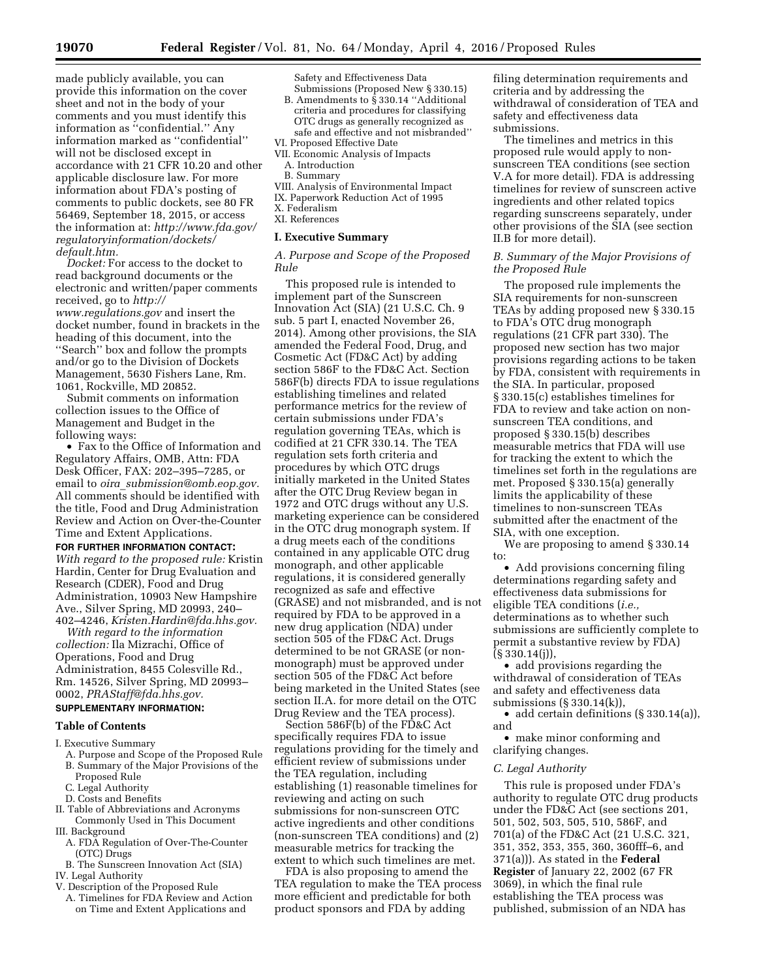made publicly available, you can provide this information on the cover sheet and not in the body of your comments and you must identify this information as ''confidential.'' Any information marked as ''confidential'' will not be disclosed except in accordance with 21 CFR 10.20 and other applicable disclosure law. For more information about FDA's posting of comments to public dockets, see 80 FR 56469, September 18, 2015, or access the information at: *[http://www.fda.gov/](http://www.fda.gov/regulatoryinformation/dockets/default.htm)  [regulatoryinformation/dockets/](http://www.fda.gov/regulatoryinformation/dockets/default.htm) [default.htm.](http://www.fda.gov/regulatoryinformation/dockets/default.htm)* 

*Docket:* For access to the docket to read background documents or the electronic and written/paper comments received, go to *[http://](http://www.regulations.gov) [www.regulations.gov](http://www.regulations.gov)* and insert the docket number, found in brackets in the heading of this document, into the "Search" box and follow the prompts and/or go to the Division of Dockets Management, 5630 Fishers Lane, Rm. 1061, Rockville, MD 20852.

Submit comments on information collection issues to the Office of Management and Budget in the following ways:

• Fax to the Office of Information and Regulatory Affairs, OMB, Attn: FDA Desk Officer, FAX: 202–395–7285, or email to *oira*\_*[submission@omb.eop.gov.](mailto:oira_submission@omb.eop.gov)*  All comments should be identified with the title, Food and Drug Administration Review and Action on Over-the-Counter Time and Extent Applications.

#### **FOR FURTHER INFORMATION CONTACT:**

*With regard to the proposed rule:* Kristin Hardin, Center for Drug Evaluation and Research (CDER), Food and Drug Administration, 10903 New Hampshire Ave., Silver Spring, MD 20993, 240– 402–4246, *[Kristen.Hardin@fda.hhs.gov.](mailto:Kristen.Hardin@fda.hhs.gov)* 

*With regard to the information collection:* Ila Mizrachi, Office of Operations, Food and Drug Administration, 8455 Colesville Rd., Rm. 14526, Silver Spring, MD 20993– 0002, *[PRAStaff@fda.hhs.gov.](mailto:PRAStaff@fda.hhs.gov)* 

# **SUPPLEMENTARY INFORMATION:**

# **Table of Contents**

I. Executive Summary

- A. Purpose and Scope of the Proposed Rule
- B. Summary of the Major Provisions of the Proposed Rule
- C. Legal Authority
- D. Costs and Benefits
- II. Table of Abbreviations and Acronyms
- Commonly Used in This Document III. Background
- A. FDA Regulation of Over-The-Counter (OTC) Drugs
- B. The Sunscreen Innovation Act (SIA) IV. Legal Authority
- V. Description of the Proposed Rule
- A. Timelines for FDA Review and Action on Time and Extent Applications and

Safety and Effectiveness Data

- Submissions (Proposed New § 330.15) B. Amendments to  $\tilde{\S}$  330.14 "Additional criteria and procedures for classifying OTC drugs as generally recognized as safe and effective and not misbranded''
- VI. Proposed Effective Date
- VII. Economic Analysis of Impacts
- A. Introduction
- B. Summary
- VIII. Analysis of Environmental Impact IX. Paperwork Reduction Act of 1995
- X. Federalism
- XI. References

### **I. Executive Summary**

*A. Purpose and Scope of the Proposed Rule* 

This proposed rule is intended to implement part of the Sunscreen Innovation Act (SIA) (21 U.S.C. Ch. 9 sub. 5 part I, enacted November 26, 2014). Among other provisions, the SIA amended the Federal Food, Drug, and Cosmetic Act (FD&C Act) by adding section 586F to the FD&C Act. Section 586F(b) directs FDA to issue regulations establishing timelines and related performance metrics for the review of certain submissions under FDA's regulation governing TEAs, which is codified at 21 CFR 330.14. The TEA regulation sets forth criteria and procedures by which OTC drugs initially marketed in the United States after the OTC Drug Review began in 1972 and OTC drugs without any U.S. marketing experience can be considered in the OTC drug monograph system. If a drug meets each of the conditions contained in any applicable OTC drug monograph, and other applicable regulations, it is considered generally recognized as safe and effective (GRASE) and not misbranded, and is not required by FDA to be approved in a new drug application (NDA) under section 505 of the FD&C Act. Drugs determined to be not GRASE (or nonmonograph) must be approved under section 505 of the FD&C Act before being marketed in the United States (see section II.A. for more detail on the OTC Drug Review and the TEA process).

Section 586F(b) of the FD&C Act specifically requires FDA to issue regulations providing for the timely and efficient review of submissions under the TEA regulation, including establishing (1) reasonable timelines for reviewing and acting on such submissions for non-sunscreen OTC active ingredients and other conditions (non-sunscreen TEA conditions) and (2) measurable metrics for tracking the extent to which such timelines are met.

FDA is also proposing to amend the TEA regulation to make the TEA process more efficient and predictable for both product sponsors and FDA by adding

filing determination requirements and criteria and by addressing the withdrawal of consideration of TEA and safety and effectiveness data submissions.

The timelines and metrics in this proposed rule would apply to nonsunscreen TEA conditions (see section V.A for more detail). FDA is addressing timelines for review of sunscreen active ingredients and other related topics regarding sunscreens separately, under other provisions of the SIA (see section II.B for more detail).

# *B. Summary of the Major Provisions of the Proposed Rule*

The proposed rule implements the SIA requirements for non-sunscreen TEAs by adding proposed new § 330.15 to FDA's OTC drug monograph regulations (21 CFR part 330). The proposed new section has two major provisions regarding actions to be taken by FDA, consistent with requirements in the SIA. In particular, proposed § 330.15(c) establishes timelines for FDA to review and take action on nonsunscreen TEA conditions, and proposed § 330.15(b) describes measurable metrics that FDA will use for tracking the extent to which the timelines set forth in the regulations are met. Proposed § 330.15(a) generally limits the applicability of these timelines to non-sunscreen TEAs submitted after the enactment of the SIA, with one exception.

We are proposing to amend § 330.14 to:

• Add provisions concerning filing determinations regarding safety and effectiveness data submissions for eligible TEA conditions (*i.e.,*  determinations as to whether such submissions are sufficiently complete to permit a substantive review by FDA)  $(S330.14(i))$ ,

• add provisions regarding the withdrawal of consideration of TEAs and safety and effectiveness data submissions (§ 330.14(k)),

• add certain definitions (§ 330.14(a)), and

• make minor conforming and clarifying changes.

### *C. Legal Authority*

This rule is proposed under FDA's authority to regulate OTC drug products under the FD&C Act (see sections 201, 501, 502, 503, 505, 510, 586F, and 701(a) of the FD&C Act (21 U.S.C. 321, 351, 352, 353, 355, 360, 360fff–6, and 371(a))). As stated in the **Federal Register** of January 22, 2002 (67 FR 3069), in which the final rule establishing the TEA process was published, submission of an NDA has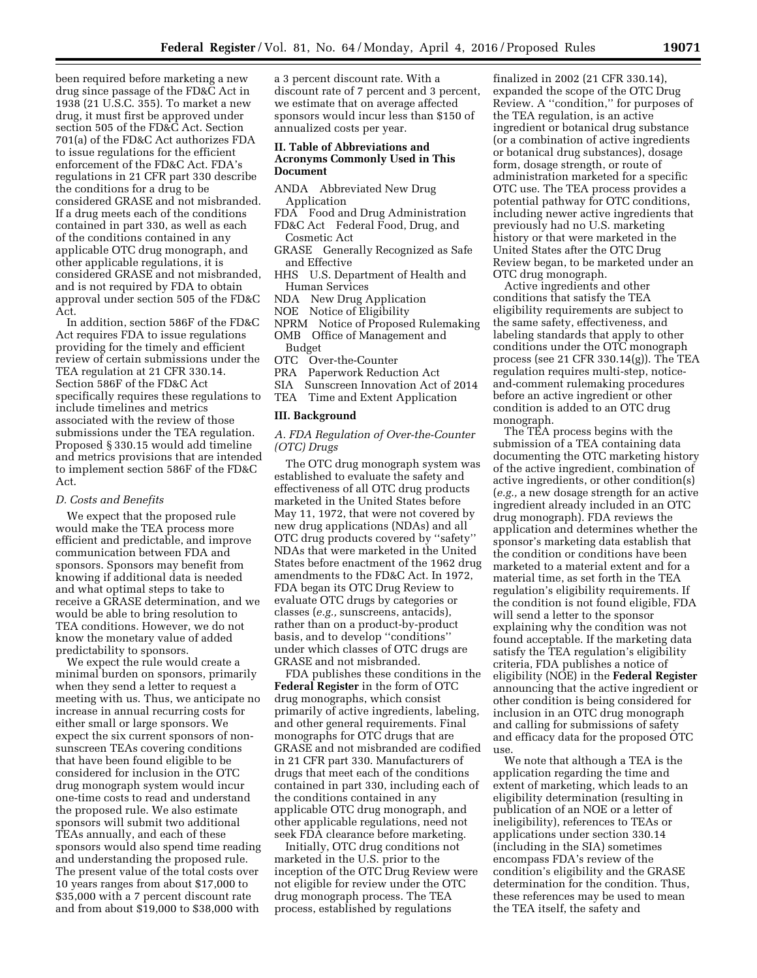been required before marketing a new drug since passage of the FD&C Act in 1938 (21 U.S.C. 355). To market a new drug, it must first be approved under section 505 of the FD&C Act. Section 701(a) of the FD&C Act authorizes FDA to issue regulations for the efficient enforcement of the FD&C Act. FDA's regulations in 21 CFR part 330 describe the conditions for a drug to be considered GRASE and not misbranded. If a drug meets each of the conditions contained in part 330, as well as each of the conditions contained in any applicable OTC drug monograph, and other applicable regulations, it is considered GRASE and not misbranded, and is not required by FDA to obtain approval under section 505 of the FD&C Act.

In addition, section 586F of the FD&C Act requires FDA to issue regulations providing for the timely and efficient review of certain submissions under the TEA regulation at 21 CFR 330.14. Section 586F of the FD&C Act specifically requires these regulations to include timelines and metrics associated with the review of those submissions under the TEA regulation. Proposed § 330.15 would add timeline and metrics provisions that are intended to implement section 586F of the FD&C Act.

## *D. Costs and Benefits*

We expect that the proposed rule would make the TEA process more efficient and predictable, and improve communication between FDA and sponsors. Sponsors may benefit from knowing if additional data is needed and what optimal steps to take to receive a GRASE determination, and we would be able to bring resolution to TEA conditions. However, we do not know the monetary value of added predictability to sponsors.

We expect the rule would create a minimal burden on sponsors, primarily when they send a letter to request a meeting with us. Thus, we anticipate no increase in annual recurring costs for either small or large sponsors. We expect the six current sponsors of nonsunscreen TEAs covering conditions that have been found eligible to be considered for inclusion in the OTC drug monograph system would incur one-time costs to read and understand the proposed rule. We also estimate sponsors will submit two additional TEAs annually, and each of these sponsors would also spend time reading and understanding the proposed rule. The present value of the total costs over 10 years ranges from about \$17,000 to \$35,000 with a 7 percent discount rate and from about \$19,000 to \$38,000 with

a 3 percent discount rate. With a discount rate of 7 percent and 3 percent, we estimate that on average affected sponsors would incur less than \$150 of annualized costs per year.

## **II. Table of Abbreviations and Acronyms Commonly Used in This Document**

- ANDA Abbreviated New Drug Application
- FDA Food and Drug Administration
- FD&C Act Federal Food, Drug, and Cosmetic Act
- GRASE Generally Recognized as Safe and Effective
- HHS U.S. Department of Health and Human Services
- NDA New Drug Application
- NOE Notice of Eligibility
- NPRM Notice of Proposed Rulemaking
- OMB Office of Management and Budget
- OTC Over-the-Counter
- PRA Paperwork Reduction Act
- Sunscreen Innovation Act of 2014
- TEA Time and Extent Application

### **III. Background**

# *A. FDA Regulation of Over-the-Counter (OTC) Drugs*

The OTC drug monograph system was established to evaluate the safety and effectiveness of all OTC drug products marketed in the United States before May 11, 1972, that were not covered by new drug applications (NDAs) and all OTC drug products covered by ''safety'' NDAs that were marketed in the United States before enactment of the 1962 drug amendments to the FD&C Act. In 1972, FDA began its OTC Drug Review to evaluate OTC drugs by categories or classes (*e.g.,* sunscreens, antacids), rather than on a product-by-product basis, and to develop ''conditions'' under which classes of OTC drugs are GRASE and not misbranded.

FDA publishes these conditions in the **Federal Register** in the form of OTC drug monographs, which consist primarily of active ingredients, labeling, and other general requirements. Final monographs for OTC drugs that are GRASE and not misbranded are codified in 21 CFR part 330. Manufacturers of drugs that meet each of the conditions contained in part 330, including each of the conditions contained in any applicable OTC drug monograph, and other applicable regulations, need not seek FDA clearance before marketing.

Initially, OTC drug conditions not marketed in the U.S. prior to the inception of the OTC Drug Review were not eligible for review under the OTC drug monograph process. The TEA process, established by regulations

finalized in 2002 (21 CFR 330.14), expanded the scope of the OTC Drug Review. A ''condition,'' for purposes of the TEA regulation, is an active ingredient or botanical drug substance (or a combination of active ingredients or botanical drug substances), dosage form, dosage strength, or route of administration marketed for a specific OTC use. The TEA process provides a potential pathway for OTC conditions, including newer active ingredients that previously had no U.S. marketing history or that were marketed in the United States after the OTC Drug Review began, to be marketed under an OTC drug monograph.

Active ingredients and other conditions that satisfy the TEA eligibility requirements are subject to the same safety, effectiveness, and labeling standards that apply to other conditions under the OTC monograph process (see 21 CFR 330.14(g)). The TEA regulation requires multi-step, noticeand-comment rulemaking procedures before an active ingredient or other condition is added to an OTC drug monograph.

The TEA process begins with the submission of a TEA containing data documenting the OTC marketing history of the active ingredient, combination of active ingredients, or other condition(s) (*e.g.,* a new dosage strength for an active ingredient already included in an OTC drug monograph). FDA reviews the application and determines whether the sponsor's marketing data establish that the condition or conditions have been marketed to a material extent and for a material time, as set forth in the TEA regulation's eligibility requirements. If the condition is not found eligible, FDA will send a letter to the sponsor explaining why the condition was not found acceptable. If the marketing data satisfy the TEA regulation's eligibility criteria, FDA publishes a notice of eligibility (NOE) in the **Federal Register**  announcing that the active ingredient or other condition is being considered for inclusion in an OTC drug monograph and calling for submissions of safety and efficacy data for the proposed OTC use.

We note that although a TEA is the application regarding the time and extent of marketing, which leads to an eligibility determination (resulting in publication of an NOE or a letter of ineligibility), references to TEAs or applications under section 330.14 (including in the SIA) sometimes encompass FDA's review of the condition's eligibility and the GRASE determination for the condition. Thus, these references may be used to mean the TEA itself, the safety and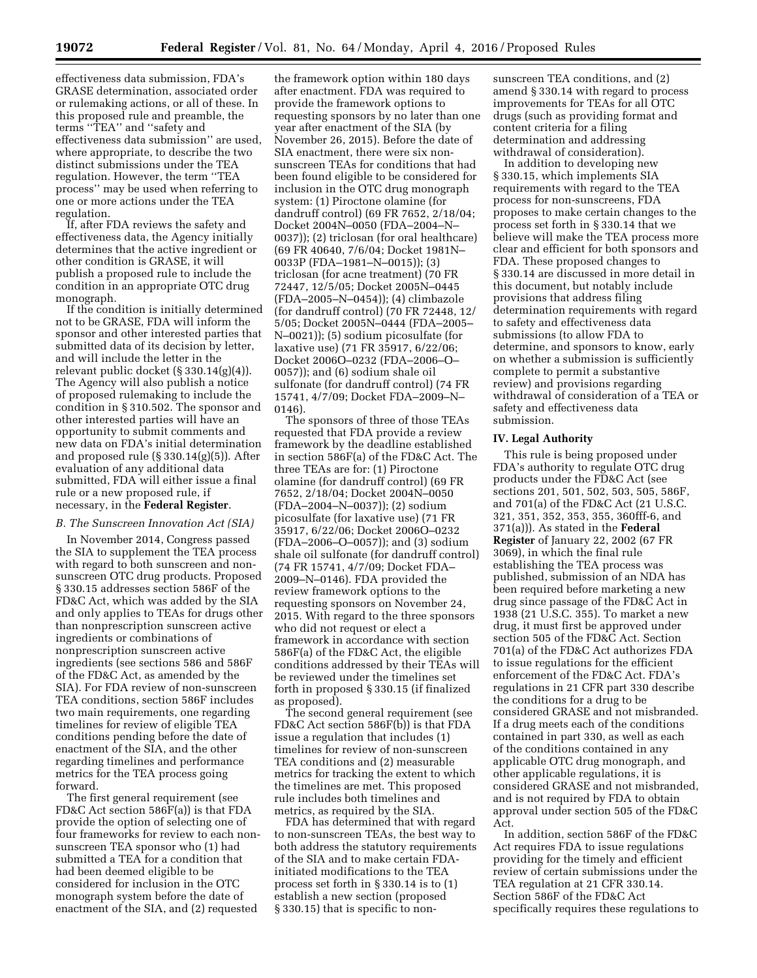effectiveness data submission, FDA's GRASE determination, associated order or rulemaking actions, or all of these. In this proposed rule and preamble, the terms ''TEA'' and ''safety and effectiveness data submission'' are used, where appropriate, to describe the two distinct submissions under the TEA regulation. However, the term ''TEA process'' may be used when referring to one or more actions under the TEA regulation.

If, after FDA reviews the safety and effectiveness data, the Agency initially determines that the active ingredient or other condition is GRASE, it will publish a proposed rule to include the condition in an appropriate OTC drug monograph.

If the condition is initially determined not to be GRASE, FDA will inform the sponsor and other interested parties that submitted data of its decision by letter, and will include the letter in the relevant public docket (§ 330.14(g)(4)). The Agency will also publish a notice of proposed rulemaking to include the condition in § 310.502. The sponsor and other interested parties will have an opportunity to submit comments and new data on FDA's initial determination and proposed rule (§ 330.14(g)(5)). After evaluation of any additional data submitted, FDA will either issue a final rule or a new proposed rule, if necessary, in the **Federal Register**.

### *B. The Sunscreen Innovation Act (SIA)*

In November 2014, Congress passed the SIA to supplement the TEA process with regard to both sunscreen and nonsunscreen OTC drug products. Proposed § 330.15 addresses section 586F of the FD&C Act, which was added by the SIA and only applies to TEAs for drugs other than nonprescription sunscreen active ingredients or combinations of nonprescription sunscreen active ingredients (see sections 586 and 586F of the FD&C Act, as amended by the SIA). For FDA review of non-sunscreen TEA conditions, section 586F includes two main requirements, one regarding timelines for review of eligible TEA conditions pending before the date of enactment of the SIA, and the other regarding timelines and performance metrics for the TEA process going forward.

The first general requirement (see FD&C Act section 586F(a)) is that FDA provide the option of selecting one of four frameworks for review to each nonsunscreen TEA sponsor who (1) had submitted a TEA for a condition that had been deemed eligible to be considered for inclusion in the OTC monograph system before the date of enactment of the SIA, and (2) requested

the framework option within 180 days after enactment. FDA was required to provide the framework options to requesting sponsors by no later than one year after enactment of the SIA (by November 26, 2015). Before the date of SIA enactment, there were six nonsunscreen TEAs for conditions that had been found eligible to be considered for inclusion in the OTC drug monograph system: (1) Piroctone olamine (for dandruff control) (69 FR 7652, 2/18/04; Docket 2004N–0050 (FDA–2004–N– 0037)); (2) triclosan (for oral healthcare) (69 FR 40640, 7/6/04; Docket 1981N– 0033P (FDA–1981–N–0015)); (3) triclosan (for acne treatment) (70 FR 72447, 12/5/05; Docket 2005N–0445 (FDA–2005–N–0454)); (4) climbazole (for dandruff control) (70 FR 72448, 12/ 5/05; Docket 2005N–0444 (FDA–2005– N–0021)); (5) sodium picosulfate (for laxative use) (71 FR 35917, 6/22/06; Docket 2006O–0232 (FDA–2006–O– 0057)); and (6) sodium shale oil sulfonate (for dandruff control) (74 FR 15741, 4/7/09; Docket FDA–2009–N– 0146).

The sponsors of three of those TEAs requested that FDA provide a review framework by the deadline established in section 586F(a) of the FD&C Act. The three TEAs are for: (1) Piroctone olamine (for dandruff control) (69 FR 7652, 2/18/04; Docket 2004N–0050 (FDA–2004–N–0037)); (2) sodium picosulfate (for laxative use) (71 FR 35917, 6/22/06; Docket 2006O–0232 (FDA–2006–O–0057)); and (3) sodium shale oil sulfonate (for dandruff control) (74 FR 15741, 4/7/09; Docket FDA– 2009–N–0146). FDA provided the review framework options to the requesting sponsors on November 24, 2015. With regard to the three sponsors who did not request or elect a framework in accordance with section 586F(a) of the FD&C Act, the eligible conditions addressed by their TEAs will be reviewed under the timelines set forth in proposed § 330.15 (if finalized as proposed).

The second general requirement (see FD&C Act section 586F(b)) is that FDA issue a regulation that includes (1) timelines for review of non-sunscreen TEA conditions and (2) measurable metrics for tracking the extent to which the timelines are met. This proposed rule includes both timelines and metrics, as required by the SIA.

FDA has determined that with regard to non-sunscreen TEAs, the best way to both address the statutory requirements of the SIA and to make certain FDAinitiated modifications to the TEA process set forth in § 330.14 is to (1) establish a new section (proposed § 330.15) that is specific to nonsunscreen TEA conditions, and (2) amend § 330.14 with regard to process improvements for TEAs for all OTC drugs (such as providing format and content criteria for a filing determination and addressing withdrawal of consideration).

In addition to developing new § 330.15, which implements SIA requirements with regard to the TEA process for non-sunscreens, FDA proposes to make certain changes to the process set forth in § 330.14 that we believe will make the TEA process more clear and efficient for both sponsors and FDA. These proposed changes to § 330.14 are discussed in more detail in this document, but notably include provisions that address filing determination requirements with regard to safety and effectiveness data submissions (to allow FDA to determine, and sponsors to know, early on whether a submission is sufficiently complete to permit a substantive review) and provisions regarding withdrawal of consideration of a TEA or safety and effectiveness data submission.

### **IV. Legal Authority**

This rule is being proposed under FDA's authority to regulate OTC drug products under the FD&C Act (see sections 201, 501, 502, 503, 505, 586F, and 701(a) of the FD&C Act (21 U.S.C. 321, 351, 352, 353, 355, 360fff-6, and 371(a))). As stated in the **Federal Register** of January 22, 2002 (67 FR 3069), in which the final rule establishing the TEA process was published, submission of an NDA has been required before marketing a new drug since passage of the FD&C Act in 1938 (21 U.S.C. 355). To market a new drug, it must first be approved under section 505 of the FD&C Act. Section 701(a) of the FD&C Act authorizes FDA to issue regulations for the efficient enforcement of the FD&C Act. FDA's regulations in 21 CFR part 330 describe the conditions for a drug to be considered GRASE and not misbranded. If a drug meets each of the conditions contained in part 330, as well as each of the conditions contained in any applicable OTC drug monograph, and other applicable regulations, it is considered GRASE and not misbranded, and is not required by FDA to obtain approval under section 505 of the FD&C Act.

In addition, section 586F of the FD&C Act requires FDA to issue regulations providing for the timely and efficient review of certain submissions under the TEA regulation at 21 CFR 330.14. Section 586F of the FD&C Act specifically requires these regulations to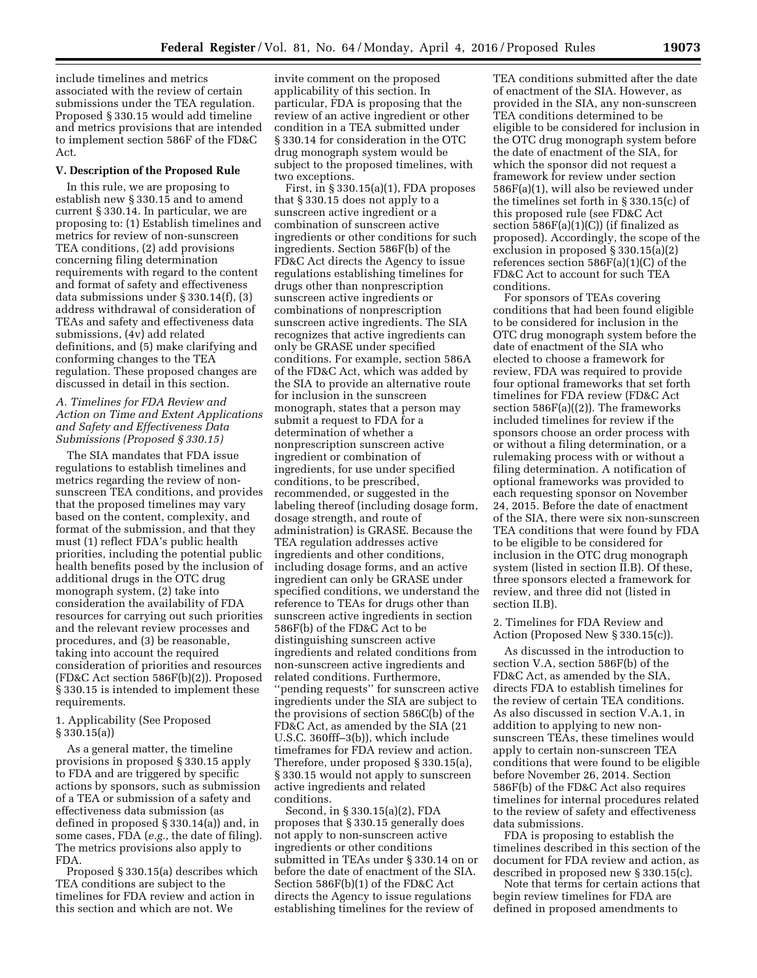include timelines and metrics associated with the review of certain submissions under the TEA regulation. Proposed § 330.15 would add timeline and metrics provisions that are intended to implement section 586F of the FD&C Act.

### **V. Description of the Proposed Rule**

In this rule, we are proposing to establish new § 330.15 and to amend current § 330.14. In particular, we are proposing to: (1) Establish timelines and metrics for review of non-sunscreen TEA conditions, (2) add provisions concerning filing determination requirements with regard to the content and format of safety and effectiveness data submissions under § 330.14(f), (3) address withdrawal of consideration of TEAs and safety and effectiveness data submissions, (4v) add related definitions, and (5) make clarifying and conforming changes to the TEA regulation. These proposed changes are discussed in detail in this section.

# *A. Timelines for FDA Review and Action on Time and Extent Applications and Safety and Effectiveness Data Submissions (Proposed § 330.15)*

The SIA mandates that FDA issue regulations to establish timelines and metrics regarding the review of nonsunscreen TEA conditions, and provides that the proposed timelines may vary based on the content, complexity, and format of the submission, and that they must (1) reflect FDA's public health priorities, including the potential public health benefits posed by the inclusion of additional drugs in the OTC drug monograph system, (2) take into consideration the availability of FDA resources for carrying out such priorities and the relevant review processes and procedures, and (3) be reasonable, taking into account the required consideration of priorities and resources (FD&C Act section 586F(b)(2)). Proposed § 330.15 is intended to implement these requirements.

## 1. Applicability (See Proposed § 330.15(a))

As a general matter, the timeline provisions in proposed § 330.15 apply to FDA and are triggered by specific actions by sponsors, such as submission of a TEA or submission of a safety and effectiveness data submission (as defined in proposed § 330.14(a)) and, in some cases, FDA (*e.g.,* the date of filing). The metrics provisions also apply to FDA.

Proposed § 330.15(a) describes which TEA conditions are subject to the timelines for FDA review and action in this section and which are not. We

invite comment on the proposed applicability of this section. In particular, FDA is proposing that the review of an active ingredient or other condition in a TEA submitted under § 330.14 for consideration in the OTC drug monograph system would be subject to the proposed timelines, with two exceptions.

First, in  $\S 330.15(a)(1)$ , FDA proposes that § 330.15 does not apply to a sunscreen active ingredient or a combination of sunscreen active ingredients or other conditions for such ingredients. Section 586F(b) of the FD&C Act directs the Agency to issue regulations establishing timelines for drugs other than nonprescription sunscreen active ingredients or combinations of nonprescription sunscreen active ingredients. The SIA recognizes that active ingredients can only be GRASE under specified conditions. For example, section 586A of the FD&C Act, which was added by the SIA to provide an alternative route for inclusion in the sunscreen monograph, states that a person may submit a request to FDA for a determination of whether a nonprescription sunscreen active ingredient or combination of ingredients, for use under specified conditions, to be prescribed, recommended, or suggested in the labeling thereof (including dosage form, dosage strength, and route of administration) is GRASE. Because the TEA regulation addresses active ingredients and other conditions, including dosage forms, and an active ingredient can only be GRASE under specified conditions, we understand the reference to TEAs for drugs other than sunscreen active ingredients in section 586F(b) of the FD&C Act to be distinguishing sunscreen active ingredients and related conditions from non-sunscreen active ingredients and related conditions. Furthermore, ''pending requests'' for sunscreen active ingredients under the SIA are subject to the provisions of section 586C(b) of the FD&C Act, as amended by the SIA (21 U.S.C. 360fff–3(b)), which include timeframes for FDA review and action. Therefore, under proposed § 330.15(a), § 330.15 would not apply to sunscreen active ingredients and related conditions.

Second, in § 330.15(a)(2), FDA proposes that § 330.15 generally does not apply to non-sunscreen active ingredients or other conditions submitted in TEAs under § 330.14 on or before the date of enactment of the SIA. Section 586F(b)(1) of the FD&C Act directs the Agency to issue regulations establishing timelines for the review of

TEA conditions submitted after the date of enactment of the SIA. However, as provided in the SIA, any non-sunscreen TEA conditions determined to be eligible to be considered for inclusion in the OTC drug monograph system before the date of enactment of the SIA, for which the sponsor did not request a framework for review under section 586F(a)(1), will also be reviewed under the timelines set forth in § 330.15(c) of this proposed rule (see FD&C Act section 586F(a)(1)(C)) (if finalized as proposed). Accordingly, the scope of the exclusion in proposed § 330.15(a)(2) references section 586F(a)(1)(C) of the FD&C Act to account for such TEA conditions.

For sponsors of TEAs covering conditions that had been found eligible to be considered for inclusion in the OTC drug monograph system before the date of enactment of the SIA who elected to choose a framework for review, FDA was required to provide four optional frameworks that set forth timelines for FDA review (FD&C Act section  $586F(a)((2))$ . The frameworks included timelines for review if the sponsors choose an order process with or without a filing determination, or a rulemaking process with or without a filing determination. A notification of optional frameworks was provided to each requesting sponsor on November 24, 2015. Before the date of enactment of the SIA, there were six non-sunscreen TEA conditions that were found by FDA to be eligible to be considered for inclusion in the OTC drug monograph system (listed in section II.B). Of these, three sponsors elected a framework for review, and three did not (listed in section II.B).

2. Timelines for FDA Review and Action (Proposed New § 330.15(c)).

As discussed in the introduction to section V.A, section 586F(b) of the FD&C Act, as amended by the SIA, directs FDA to establish timelines for the review of certain TEA conditions. As also discussed in section V.A.1, in addition to applying to new nonsunscreen TEAs, these timelines would apply to certain non-sunscreen TEA conditions that were found to be eligible before November 26, 2014. Section 586F(b) of the FD&C Act also requires timelines for internal procedures related to the review of safety and effectiveness data submissions.

FDA is proposing to establish the timelines described in this section of the document for FDA review and action, as described in proposed new § 330.15(c).

Note that terms for certain actions that begin review timelines for FDA are defined in proposed amendments to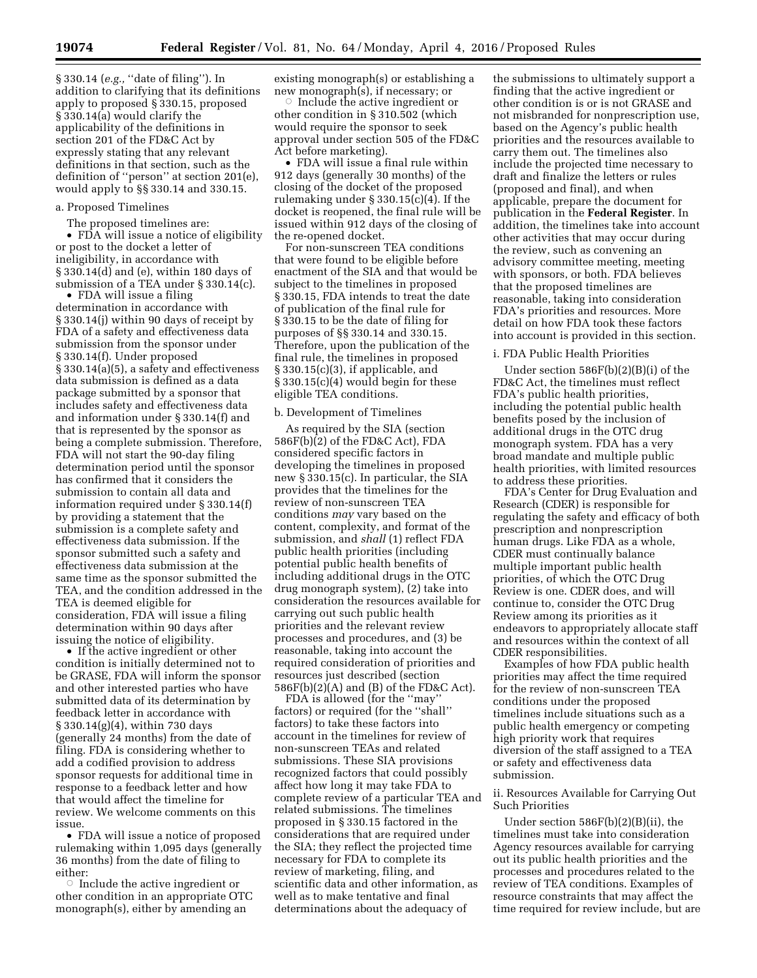§ 330.14 (*e.g.,* ''date of filing''). In addition to clarifying that its definitions apply to proposed § 330.15, proposed § 330.14(a) would clarify the applicability of the definitions in section 201 of the FD&C Act by expressly stating that any relevant definitions in that section, such as the definition of ''person'' at section 201(e), would apply to §§ 330.14 and 330.15.

### a. Proposed Timelines

The proposed timelines are:

• FDA will issue a notice of eligibility or post to the docket a letter of ineligibility, in accordance with § 330.14(d) and (e), within 180 days of submission of a TEA under § 330.14(c).

• FDA will issue a filing determination in accordance with § 330.14(j) within 90 days of receipt by FDA of a safety and effectiveness data submission from the sponsor under § 330.14(f). Under proposed § 330.14(a)(5), a safety and effectiveness data submission is defined as a data package submitted by a sponsor that includes safety and effectiveness data and information under § 330.14(f) and that is represented by the sponsor as being a complete submission. Therefore, FDA will not start the 90-day filing determination period until the sponsor has confirmed that it considers the submission to contain all data and information required under § 330.14(f) by providing a statement that the submission is a complete safety and effectiveness data submission. If the sponsor submitted such a safety and effectiveness data submission at the same time as the sponsor submitted the TEA, and the condition addressed in the TEA is deemed eligible for consideration, FDA will issue a filing determination within 90 days after issuing the notice of eligibility.

• If the active ingredient or other condition is initially determined not to be GRASE, FDA will inform the sponsor and other interested parties who have submitted data of its determination by feedback letter in accordance with § 330.14(g)(4), within 730 days (generally 24 months) from the date of filing. FDA is considering whether to add a codified provision to address sponsor requests for additional time in response to a feedback letter and how that would affect the timeline for review. We welcome comments on this issue.

• FDA will issue a notice of proposed rulemaking within 1,095 days (generally 36 months) from the date of filing to either:

 $\circ$  Include the active ingredient or other condition in an appropriate OTC monograph(s), either by amending an

existing monograph(s) or establishing a new monograph(s), if necessary; or

 $\circ$  Include the active ingredient or other condition in § 310.502 (which would require the sponsor to seek approval under section 505 of the FD&C Act before marketing).

• FDA will issue a final rule within 912 days (generally 30 months) of the closing of the docket of the proposed rulemaking under § 330.15(c)(4). If the docket is reopened, the final rule will be issued within 912 days of the closing of the re-opened docket.

For non-sunscreen TEA conditions that were found to be eligible before enactment of the SIA and that would be subject to the timelines in proposed § 330.15, FDA intends to treat the date of publication of the final rule for § 330.15 to be the date of filing for purposes of §§ 330.14 and 330.15. Therefore, upon the publication of the final rule, the timelines in proposed § 330.15(c)(3), if applicable, and  $§ 330.15(c)(4)$  would begin for these eligible TEA conditions.

# b. Development of Timelines

As required by the SIA (section 586F(b)(2) of the FD&C Act), FDA considered specific factors in developing the timelines in proposed new § 330.15(c). In particular, the SIA provides that the timelines for the review of non-sunscreen TEA conditions *may* vary based on the content, complexity, and format of the submission, and *shall* (1) reflect FDA public health priorities (including potential public health benefits of including additional drugs in the OTC drug monograph system), (2) take into consideration the resources available for carrying out such public health priorities and the relevant review processes and procedures, and (3) be reasonable, taking into account the required consideration of priorities and resources just described (section 586F(b)(2)(A) and (B) of the FD&C Act).

FDA is allowed (for the ''may'' factors) or required (for the ''shall'' factors) to take these factors into account in the timelines for review of non-sunscreen TEAs and related submissions. These SIA provisions recognized factors that could possibly affect how long it may take FDA to complete review of a particular TEA and related submissions. The timelines proposed in § 330.15 factored in the considerations that are required under the SIA; they reflect the projected time necessary for FDA to complete its review of marketing, filing, and scientific data and other information, as well as to make tentative and final determinations about the adequacy of

the submissions to ultimately support a finding that the active ingredient or other condition is or is not GRASE and not misbranded for nonprescription use, based on the Agency's public health priorities and the resources available to carry them out. The timelines also include the projected time necessary to draft and finalize the letters or rules (proposed and final), and when applicable, prepare the document for publication in the **Federal Register**. In addition, the timelines take into account other activities that may occur during the review, such as convening an advisory committee meeting, meeting with sponsors, or both. FDA believes that the proposed timelines are reasonable, taking into consideration FDA's priorities and resources. More detail on how FDA took these factors into account is provided in this section.

### i. FDA Public Health Priorities

Under section 586F(b)(2)(B)(i) of the FD&C Act, the timelines must reflect FDA's public health priorities, including the potential public health benefits posed by the inclusion of additional drugs in the OTC drug monograph system. FDA has a very broad mandate and multiple public health priorities, with limited resources to address these priorities.

FDA's Center for Drug Evaluation and Research (CDER) is responsible for regulating the safety and efficacy of both prescription and nonprescription human drugs. Like FDA as a whole, CDER must continually balance multiple important public health priorities, of which the OTC Drug Review is one. CDER does, and will continue to, consider the OTC Drug Review among its priorities as it endeavors to appropriately allocate staff and resources within the context of all CDER responsibilities.

Examples of how FDA public health priorities may affect the time required for the review of non-sunscreen TEA conditions under the proposed timelines include situations such as a public health emergency or competing high priority work that requires diversion of the staff assigned to a TEA or safety and effectiveness data submission.

ii. Resources Available for Carrying Out Such Priorities

Under section 586F(b)(2)(B)(ii), the timelines must take into consideration Agency resources available for carrying out its public health priorities and the processes and procedures related to the review of TEA conditions. Examples of resource constraints that may affect the time required for review include, but are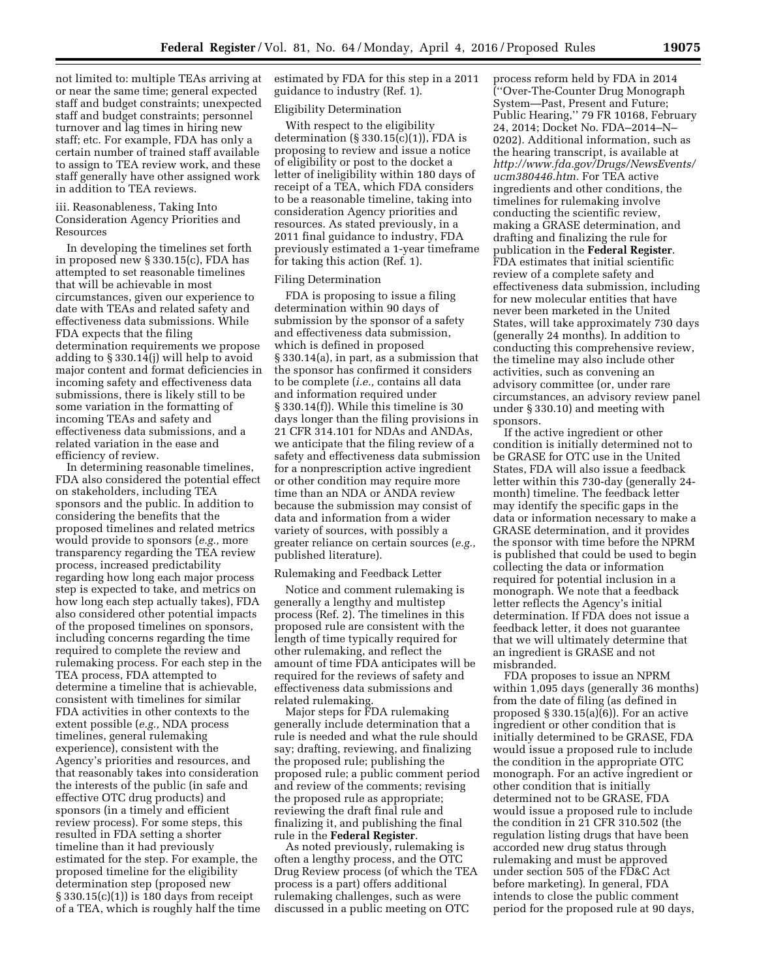not limited to: multiple TEAs arriving at or near the same time; general expected staff and budget constraints; unexpected staff and budget constraints; personnel turnover and lag times in hiring new staff; etc. For example, FDA has only a certain number of trained staff available to assign to TEA review work, and these staff generally have other assigned work in addition to TEA reviews.

### iii. Reasonableness, Taking Into Consideration Agency Priorities and Resources

In developing the timelines set forth in proposed new § 330.15(c), FDA has attempted to set reasonable timelines that will be achievable in most circumstances, given our experience to date with TEAs and related safety and effectiveness data submissions. While FDA expects that the filing determination requirements we propose adding to § 330.14(j) will help to avoid major content and format deficiencies in incoming safety and effectiveness data submissions, there is likely still to be some variation in the formatting of incoming TEAs and safety and effectiveness data submissions, and a related variation in the ease and efficiency of review.

In determining reasonable timelines, FDA also considered the potential effect on stakeholders, including TEA sponsors and the public. In addition to considering the benefits that the proposed timelines and related metrics would provide to sponsors (*e.g.,* more transparency regarding the TEA review process, increased predictability regarding how long each major process step is expected to take, and metrics on how long each step actually takes), FDA also considered other potential impacts of the proposed timelines on sponsors, including concerns regarding the time required to complete the review and rulemaking process. For each step in the TEA process, FDA attempted to determine a timeline that is achievable, consistent with timelines for similar FDA activities in other contexts to the extent possible (*e.g.,* NDA process timelines, general rulemaking experience), consistent with the Agency's priorities and resources, and that reasonably takes into consideration the interests of the public (in safe and effective OTC drug products) and sponsors (in a timely and efficient review process). For some steps, this resulted in FDA setting a shorter timeline than it had previously estimated for the step. For example, the proposed timeline for the eligibility determination step (proposed new § 330.15(c)(1)) is 180 days from receipt of a TEA, which is roughly half the time

estimated by FDA for this step in a 2011 guidance to industry (Ref. 1).

# Eligibility Determination

With respect to the eligibility determination  $(\S 330.15(c)(1))$ , FDA is proposing to review and issue a notice of eligibility or post to the docket a letter of ineligibility within 180 days of receipt of a TEA, which FDA considers to be a reasonable timeline, taking into consideration Agency priorities and resources. As stated previously, in a 2011 final guidance to industry, FDA previously estimated a 1-year timeframe for taking this action (Ref. 1).

## Filing Determination

FDA is proposing to issue a filing determination within 90 days of submission by the sponsor of a safety and effectiveness data submission, which is defined in proposed § 330.14(a), in part, as a submission that the sponsor has confirmed it considers to be complete (*i.e.,* contains all data and information required under § 330.14(f)). While this timeline is 30 days longer than the filing provisions in 21 CFR 314.101 for NDAs and ANDAs, we anticipate that the filing review of a safety and effectiveness data submission for a nonprescription active ingredient or other condition may require more time than an NDA or ANDA review because the submission may consist of data and information from a wider variety of sources, with possibly a greater reliance on certain sources (*e.g.,*  published literature).

### Rulemaking and Feedback Letter

Notice and comment rulemaking is generally a lengthy and multistep process (Ref. 2). The timelines in this proposed rule are consistent with the length of time typically required for other rulemaking, and reflect the amount of time FDA anticipates will be required for the reviews of safety and effectiveness data submissions and related rulemaking.

Major steps for FDA rulemaking generally include determination that a rule is needed and what the rule should say; drafting, reviewing, and finalizing the proposed rule; publishing the proposed rule; a public comment period and review of the comments; revising the proposed rule as appropriate; reviewing the draft final rule and finalizing it, and publishing the final rule in the **Federal Register**.

As noted previously, rulemaking is often a lengthy process, and the OTC Drug Review process (of which the TEA process is a part) offers additional rulemaking challenges, such as were discussed in a public meeting on OTC

process reform held by FDA in 2014 (''Over-The-Counter Drug Monograph System—Past, Present and Future; Public Hearing,'' 79 FR 10168, February 24, 2014; Docket No. FDA–2014–N– 0202). Additional information, such as the hearing transcript, is available at *[http://www.fda.gov/Drugs/NewsEvents/](http://www.fda.gov/Drugs/NewsEvents/ucm380446.htm) [ucm380446.htm.](http://www.fda.gov/Drugs/NewsEvents/ucm380446.htm)* For TEA active ingredients and other conditions, the timelines for rulemaking involve conducting the scientific review, making a GRASE determination, and drafting and finalizing the rule for publication in the **Federal Register**. FDA estimates that initial scientific review of a complete safety and effectiveness data submission, including for new molecular entities that have never been marketed in the United States, will take approximately 730 days (generally 24 months). In addition to conducting this comprehensive review, the timeline may also include other activities, such as convening an advisory committee (or, under rare circumstances, an advisory review panel under § 330.10) and meeting with sponsors.

If the active ingredient or other condition is initially determined not to be GRASE for OTC use in the United States, FDA will also issue a feedback letter within this 730-day (generally 24 month) timeline. The feedback letter may identify the specific gaps in the data or information necessary to make a GRASE determination, and it provides the sponsor with time before the NPRM is published that could be used to begin collecting the data or information required for potential inclusion in a monograph. We note that a feedback letter reflects the Agency's initial determination. If FDA does not issue a feedback letter, it does not guarantee that we will ultimately determine that an ingredient is GRASE and not misbranded.

FDA proposes to issue an NPRM within 1,095 days (generally 36 months) from the date of filing (as defined in proposed  $\S 330.15(a)(6)$ ). For an active ingredient or other condition that is initially determined to be GRASE, FDA would issue a proposed rule to include the condition in the appropriate OTC monograph. For an active ingredient or other condition that is initially determined not to be GRASE, FDA would issue a proposed rule to include the condition in 21 CFR 310.502 (the regulation listing drugs that have been accorded new drug status through rulemaking and must be approved under section 505 of the FD&C Act before marketing). In general, FDA intends to close the public comment period for the proposed rule at 90 days,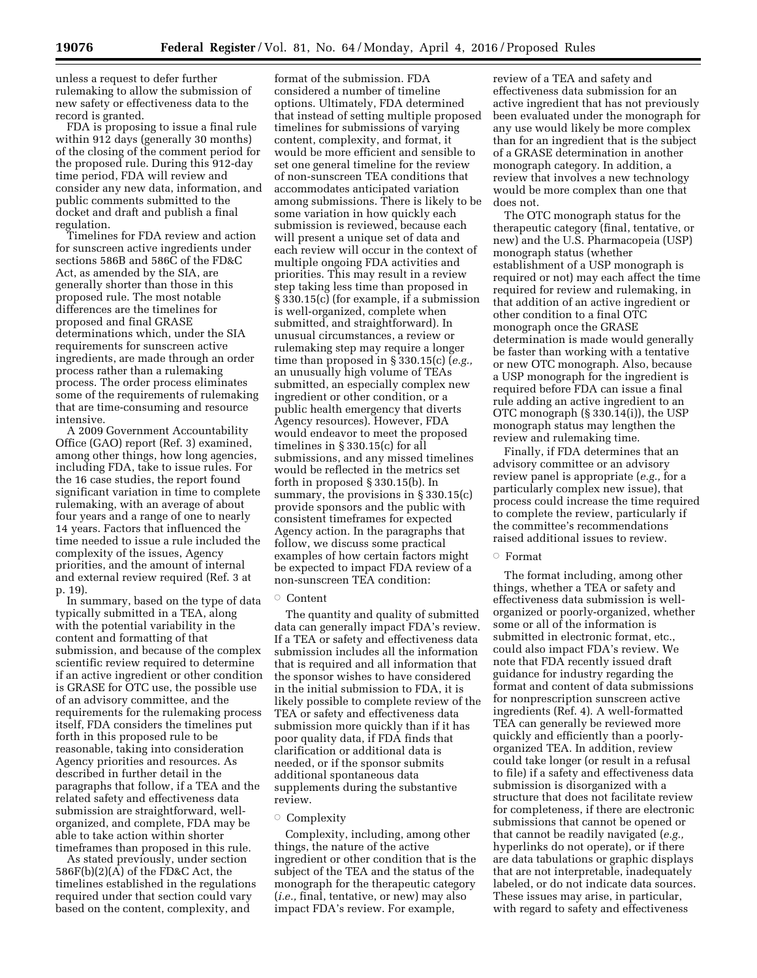unless a request to defer further rulemaking to allow the submission of new safety or effectiveness data to the record is granted.

FDA is proposing to issue a final rule within 912 days (generally 30 months) of the closing of the comment period for the proposed rule. During this 912-day time period, FDA will review and consider any new data, information, and public comments submitted to the docket and draft and publish a final regulation.

Timelines for FDA review and action for sunscreen active ingredients under sections 586B and 586C of the FD&C Act, as amended by the SIA, are generally shorter than those in this proposed rule. The most notable differences are the timelines for proposed and final GRASE determinations which, under the SIA requirements for sunscreen active ingredients, are made through an order process rather than a rulemaking process. The order process eliminates some of the requirements of rulemaking that are time-consuming and resource intensive.

A 2009 Government Accountability Office (GAO) report (Ref. 3) examined, among other things, how long agencies, including FDA, take to issue rules. For the 16 case studies, the report found significant variation in time to complete rulemaking, with an average of about four years and a range of one to nearly 14 years. Factors that influenced the time needed to issue a rule included the complexity of the issues, Agency priorities, and the amount of internal and external review required (Ref. 3 at p. 19).

In summary, based on the type of data typically submitted in a TEA, along with the potential variability in the content and formatting of that submission, and because of the complex scientific review required to determine if an active ingredient or other condition is GRASE for OTC use, the possible use of an advisory committee, and the requirements for the rulemaking process itself, FDA considers the timelines put forth in this proposed rule to be reasonable, taking into consideration Agency priorities and resources. As described in further detail in the paragraphs that follow, if a TEA and the related safety and effectiveness data submission are straightforward, wellorganized, and complete, FDA may be able to take action within shorter timeframes than proposed in this rule.

As stated previously, under section 586F(b)(2)(A) of the FD&C Act, the timelines established in the regulations required under that section could vary based on the content, complexity, and

format of the submission. FDA considered a number of timeline options. Ultimately, FDA determined that instead of setting multiple proposed timelines for submissions of varying content, complexity, and format, it would be more efficient and sensible to set one general timeline for the review of non-sunscreen TEA conditions that accommodates anticipated variation among submissions. There is likely to be some variation in how quickly each submission is reviewed, because each will present a unique set of data and each review will occur in the context of multiple ongoing FDA activities and priorities. This may result in a review step taking less time than proposed in § 330.15(c) (for example, if a submission is well-organized, complete when submitted, and straightforward). In unusual circumstances, a review or rulemaking step may require a longer time than proposed in § 330.15(c) (*e.g.,*  an unusually high volume of TEAs submitted, an especially complex new ingredient or other condition, or a public health emergency that diverts Agency resources). However, FDA would endeavor to meet the proposed timelines in § 330.15(c) for all submissions, and any missed timelines would be reflected in the metrics set forth in proposed § 330.15(b). In summary, the provisions in § 330.15(c) provide sponsors and the public with consistent timeframes for expected Agency action. In the paragraphs that follow, we discuss some practical examples of how certain factors might be expected to impact FDA review of a non-sunscreen TEA condition:

# Æ Content

The quantity and quality of submitted data can generally impact FDA's review. If a TEA or safety and effectiveness data submission includes all the information that is required and all information that the sponsor wishes to have considered in the initial submission to FDA, it is likely possible to complete review of the TEA or safety and effectiveness data submission more quickly than if it has poor quality data, if FDA finds that clarification or additional data is needed, or if the sponsor submits additional spontaneous data supplements during the substantive review.

# **Complexity**

Complexity, including, among other things, the nature of the active ingredient or other condition that is the subject of the TEA and the status of the monograph for the therapeutic category (*i.e.,* final, tentative, or new) may also impact FDA's review. For example,

review of a TEA and safety and effectiveness data submission for an active ingredient that has not previously been evaluated under the monograph for any use would likely be more complex than for an ingredient that is the subject of a GRASE determination in another monograph category. In addition, a review that involves a new technology would be more complex than one that does not.

The OTC monograph status for the therapeutic category (final, tentative, or new) and the U.S. Pharmacopeia (USP) monograph status (whether establishment of a USP monograph is required or not) may each affect the time required for review and rulemaking, in that addition of an active ingredient or other condition to a final OTC monograph once the GRASE determination is made would generally be faster than working with a tentative or new OTC monograph. Also, because a USP monograph for the ingredient is required before FDA can issue a final rule adding an active ingredient to an OTC monograph (§ 330.14(i)), the USP monograph status may lengthen the review and rulemaking time.

Finally, if FDA determines that an advisory committee or an advisory review panel is appropriate (*e.g.,* for a particularly complex new issue), that process could increase the time required to complete the review, particularly if the committee's recommendations raised additional issues to review.

# $\circ$  Format

The format including, among other things, whether a TEA or safety and effectiveness data submission is wellorganized or poorly-organized, whether some or all of the information is submitted in electronic format, etc., could also impact FDA's review. We note that FDA recently issued draft guidance for industry regarding the format and content of data submissions for nonprescription sunscreen active ingredients (Ref. 4). A well-formatted TEA can generally be reviewed more quickly and efficiently than a poorlyorganized TEA. In addition, review could take longer (or result in a refusal to file) if a safety and effectiveness data submission is disorganized with a structure that does not facilitate review for completeness, if there are electronic submissions that cannot be opened or that cannot be readily navigated (*e.g.,*  hyperlinks do not operate), or if there are data tabulations or graphic displays that are not interpretable, inadequately labeled, or do not indicate data sources. These issues may arise, in particular, with regard to safety and effectiveness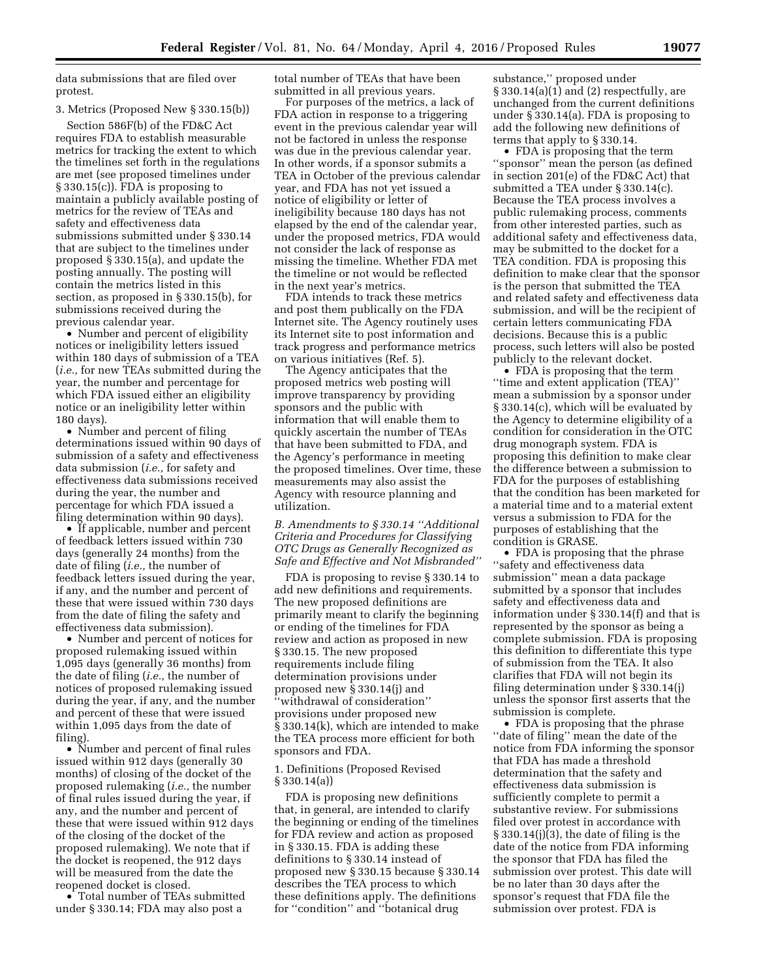data submissions that are filed over protest.

# 3. Metrics (Proposed New § 330.15(b))

Section 586F(b) of the FD&C Act requires FDA to establish measurable metrics for tracking the extent to which the timelines set forth in the regulations are met (see proposed timelines under § 330.15(c)). FDA is proposing to maintain a publicly available posting of metrics for the review of TEAs and safety and effectiveness data submissions submitted under § 330.14 that are subject to the timelines under proposed § 330.15(a), and update the posting annually. The posting will contain the metrics listed in this section, as proposed in § 330.15(b), for submissions received during the previous calendar year.

• Number and percent of eligibility notices or ineligibility letters issued within 180 days of submission of a TEA (*i.e.,* for new TEAs submitted during the year, the number and percentage for which FDA issued either an eligibility notice or an ineligibility letter within 180 days).

• Number and percent of filing determinations issued within 90 days of submission of a safety and effectiveness data submission (*i.e.,* for safety and effectiveness data submissions received during the year, the number and percentage for which FDA issued a filing determination within 90 days).

• If applicable, number and percent of feedback letters issued within 730 days (generally 24 months) from the date of filing (*i.e.,* the number of feedback letters issued during the year, if any, and the number and percent of these that were issued within 730 days from the date of filing the safety and effectiveness data submission).

• Number and percent of notices for proposed rulemaking issued within 1,095 days (generally 36 months) from the date of filing (*i.e.,* the number of notices of proposed rulemaking issued during the year, if any, and the number and percent of these that were issued within 1,095 days from the date of filing).

• Number and percent of final rules issued within 912 days (generally 30 months) of closing of the docket of the proposed rulemaking (*i.e.,* the number of final rules issued during the year, if any, and the number and percent of these that were issued within 912 days of the closing of the docket of the proposed rulemaking). We note that if the docket is reopened, the 912 days will be measured from the date the reopened docket is closed.

• Total number of TEAs submitted under § 330.14; FDA may also post a

total number of TEAs that have been submitted in all previous years.

For purposes of the metrics, a lack of FDA action in response to a triggering event in the previous calendar year will not be factored in unless the response was due in the previous calendar year. In other words, if a sponsor submits a TEA in October of the previous calendar year, and FDA has not yet issued a notice of eligibility or letter of ineligibility because 180 days has not elapsed by the end of the calendar year, under the proposed metrics, FDA would not consider the lack of response as missing the timeline. Whether FDA met the timeline or not would be reflected in the next year's metrics.

FDA intends to track these metrics and post them publically on the FDA Internet site. The Agency routinely uses its Internet site to post information and track progress and performance metrics on various initiatives (Ref. 5).

The Agency anticipates that the proposed metrics web posting will improve transparency by providing sponsors and the public with information that will enable them to quickly ascertain the number of TEAs that have been submitted to FDA, and the Agency's performance in meeting the proposed timelines. Over time, these measurements may also assist the Agency with resource planning and utilization.

*B. Amendments to § 330.14 ''Additional Criteria and Procedures for Classifying OTC Drugs as Generally Recognized as Safe and Effective and Not Misbranded''* 

FDA is proposing to revise § 330.14 to add new definitions and requirements. The new proposed definitions are primarily meant to clarify the beginning or ending of the timelines for FDA review and action as proposed in new § 330.15. The new proposed requirements include filing determination provisions under proposed new § 330.14(j) and ''withdrawal of consideration'' provisions under proposed new § 330.14(k), which are intended to make the TEA process more efficient for both sponsors and FDA.

# 1. Definitions (Proposed Revised § 330.14(a))

FDA is proposing new definitions that, in general, are intended to clarify the beginning or ending of the timelines for FDA review and action as proposed in § 330.15. FDA is adding these definitions to § 330.14 instead of proposed new § 330.15 because § 330.14 describes the TEA process to which these definitions apply. The definitions for ''condition'' and ''botanical drug

substance,'' proposed under  $§$  330.14(a)(1) and (2) respectfully, are unchanged from the current definitions under § 330.14(a). FDA is proposing to add the following new definitions of terms that apply to § 330.14.

• FDA is proposing that the term ''sponsor'' mean the person (as defined in section 201(e) of the FD&C Act) that submitted a TEA under § 330.14(c). Because the TEA process involves a public rulemaking process, comments from other interested parties, such as additional safety and effectiveness data, may be submitted to the docket for a TEA condition. FDA is proposing this definition to make clear that the sponsor is the person that submitted the TEA and related safety and effectiveness data submission, and will be the recipient of certain letters communicating FDA decisions. Because this is a public process, such letters will also be posted publicly to the relevant docket.

• FDA is proposing that the term ''time and extent application (TEA)'' mean a submission by a sponsor under § 330.14(c), which will be evaluated by the Agency to determine eligibility of a condition for consideration in the OTC drug monograph system. FDA is proposing this definition to make clear the difference between a submission to FDA for the purposes of establishing that the condition has been marketed for a material time and to a material extent versus a submission to FDA for the purposes of establishing that the condition is GRASE.

• FDA is proposing that the phrase ''safety and effectiveness data submission'' mean a data package submitted by a sponsor that includes safety and effectiveness data and information under § 330.14(f) and that is represented by the sponsor as being a complete submission. FDA is proposing this definition to differentiate this type of submission from the TEA. It also clarifies that FDA will not begin its filing determination under § 330.14(j) unless the sponsor first asserts that the submission is complete.

• FDA is proposing that the phrase ''date of filing'' mean the date of the notice from FDA informing the sponsor that FDA has made a threshold determination that the safety and effectiveness data submission is sufficiently complete to permit a substantive review. For submissions filed over protest in accordance with § 330.14(j)(3), the date of filing is the date of the notice from FDA informing the sponsor that FDA has filed the submission over protest. This date will be no later than 30 days after the sponsor's request that FDA file the submission over protest. FDA is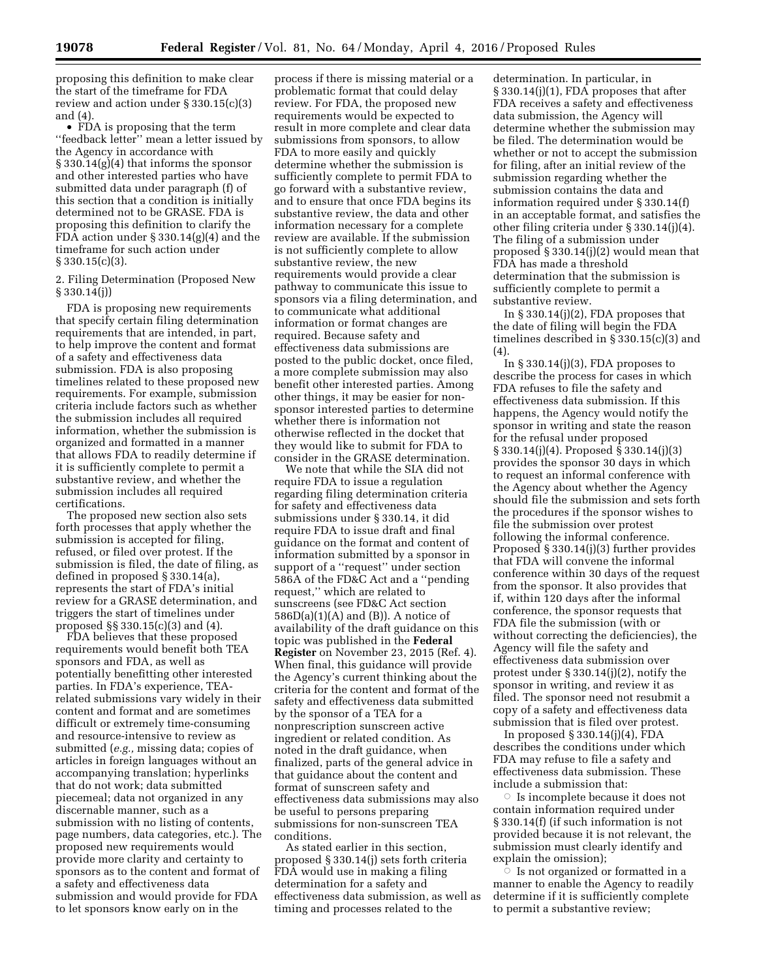proposing this definition to make clear the start of the timeframe for FDA review and action under § 330.15(c)(3) and (4).

• FDA is proposing that the term ''feedback letter'' mean a letter issued by the Agency in accordance with § 330.14(g)(4) that informs the sponsor and other interested parties who have submitted data under paragraph (f) of this section that a condition is initially determined not to be GRASE. FDA is proposing this definition to clarify the FDA action under § 330.14(g)(4) and the timeframe for such action under  $§ 330.15(c)(3).$ 

2. Filing Determination (Proposed New § 330.14(j))

FDA is proposing new requirements that specify certain filing determination requirements that are intended, in part, to help improve the content and format of a safety and effectiveness data submission. FDA is also proposing timelines related to these proposed new requirements. For example, submission criteria include factors such as whether the submission includes all required information, whether the submission is organized and formatted in a manner that allows FDA to readily determine if it is sufficiently complete to permit a substantive review, and whether the submission includes all required certifications.

The proposed new section also sets forth processes that apply whether the submission is accepted for filing, refused, or filed over protest. If the submission is filed, the date of filing, as defined in proposed § 330.14(a), represents the start of FDA's initial review for a GRASE determination, and triggers the start of timelines under proposed §§ 330.15(c)(3) and (4).

FDA believes that these proposed requirements would benefit both TEA sponsors and FDA, as well as potentially benefitting other interested parties. In FDA's experience, TEArelated submissions vary widely in their content and format and are sometimes difficult or extremely time-consuming and resource-intensive to review as submitted (*e.g.,* missing data; copies of articles in foreign languages without an accompanying translation; hyperlinks that do not work; data submitted piecemeal; data not organized in any discernable manner, such as a submission with no listing of contents, page numbers, data categories, etc.). The proposed new requirements would provide more clarity and certainty to sponsors as to the content and format of a safety and effectiveness data submission and would provide for FDA to let sponsors know early on in the

process if there is missing material or a problematic format that could delay review. For FDA, the proposed new requirements would be expected to result in more complete and clear data submissions from sponsors, to allow FDA to more easily and quickly determine whether the submission is sufficiently complete to permit FDA to go forward with a substantive review, and to ensure that once FDA begins its substantive review, the data and other information necessary for a complete review are available. If the submission is not sufficiently complete to allow substantive review, the new requirements would provide a clear pathway to communicate this issue to sponsors via a filing determination, and to communicate what additional information or format changes are required. Because safety and effectiveness data submissions are posted to the public docket, once filed, a more complete submission may also benefit other interested parties. Among other things, it may be easier for nonsponsor interested parties to determine whether there is information not otherwise reflected in the docket that they would like to submit for FDA to consider in the GRASE determination.

We note that while the SIA did not require FDA to issue a regulation regarding filing determination criteria for safety and effectiveness data submissions under § 330.14, it did require FDA to issue draft and final guidance on the format and content of information submitted by a sponsor in support of a ''request'' under section 586A of the FD&C Act and a ''pending request,'' which are related to sunscreens (see FD&C Act section  $586D(a)(1)(A)$  and  $(B)$ ). A notice of availability of the draft guidance on this topic was published in the **Federal Register** on November 23, 2015 (Ref. 4). When final, this guidance will provide the Agency's current thinking about the criteria for the content and format of the safety and effectiveness data submitted by the sponsor of a TEA for a nonprescription sunscreen active ingredient or related condition. As noted in the draft guidance, when finalized, parts of the general advice in that guidance about the content and format of sunscreen safety and effectiveness data submissions may also be useful to persons preparing submissions for non-sunscreen TEA conditions.

As stated earlier in this section, proposed § 330.14(j) sets forth criteria FDA would use in making a filing determination for a safety and effectiveness data submission, as well as timing and processes related to the

determination. In particular, in § 330.14(j)(1), FDA proposes that after FDA receives a safety and effectiveness data submission, the Agency will determine whether the submission may be filed. The determination would be whether or not to accept the submission for filing, after an initial review of the submission regarding whether the submission contains the data and information required under § 330.14(f) in an acceptable format, and satisfies the other filing criteria under § 330.14(j)(4). The filing of a submission under proposed § 330.14(j)(2) would mean that FDA has made a threshold determination that the submission is sufficiently complete to permit a substantive review.

In  $\S 330.14(j)(2)$ , FDA proposes that the date of filing will begin the FDA timelines described in  $\frac{2}{3}$  330.15(c)(3) and (4).

In § 330.14(j)(3), FDA proposes to describe the process for cases in which FDA refuses to file the safety and effectiveness data submission. If this happens, the Agency would notify the sponsor in writing and state the reason for the refusal under proposed § 330.14(j)(4). Proposed § 330.14(j)(3) provides the sponsor 30 days in which to request an informal conference with the Agency about whether the Agency should file the submission and sets forth the procedures if the sponsor wishes to file the submission over protest following the informal conference. Proposed § 330.14(j)(3) further provides that FDA will convene the informal conference within 30 days of the request from the sponsor. It also provides that if, within 120 days after the informal conference, the sponsor requests that FDA file the submission (with or without correcting the deficiencies), the Agency will file the safety and effectiveness data submission over protest under § 330.14(j)(2), notify the sponsor in writing, and review it as filed. The sponsor need not resubmit a copy of a safety and effectiveness data submission that is filed over protest.

In proposed § 330.14(j)(4), FDA describes the conditions under which FDA may refuse to file a safety and effectiveness data submission. These include a submission that:

 $\circ$  Is incomplete because it does not contain information required under § 330.14(f) (if such information is not provided because it is not relevant, the submission must clearly identify and explain the omission);

 $\overline{\circ}\;$  Is not organized or formatted in a manner to enable the Agency to readily determine if it is sufficiently complete to permit a substantive review;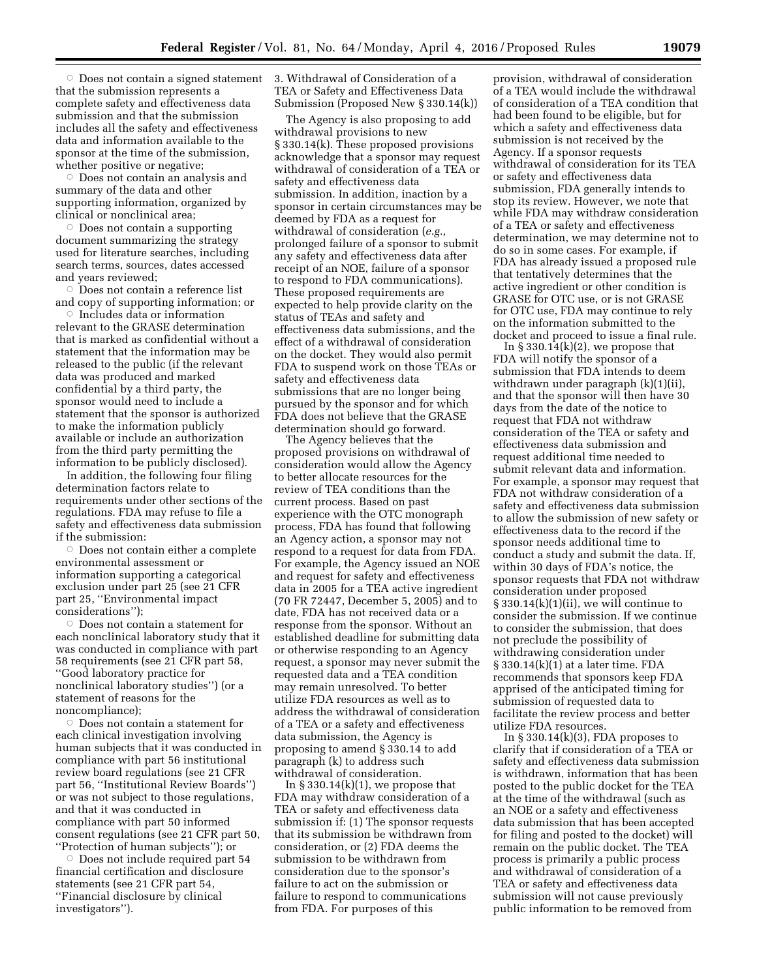$\circ$  Does not contain a signed statement that the submission represents a complete safety and effectiveness data submission and that the submission includes all the safety and effectiveness data and information available to the sponsor at the time of the submission, whether positive or negative;

 $\circ$  Does not contain an analysis and summary of the data and other supporting information, organized by clinical or nonclinical area;

 $\circ$  Does not contain a supporting document summarizing the strategy used for literature searches, including search terms, sources, dates accessed and years reviewed;

 $\circ$  Does not contain a reference list and copy of supporting information; or

 $\circ$  Includes data or information relevant to the GRASE determination that is marked as confidential without a statement that the information may be released to the public (if the relevant data was produced and marked confidential by a third party, the sponsor would need to include a statement that the sponsor is authorized to make the information publicly available or include an authorization from the third party permitting the information to be publicly disclosed).

In addition, the following four filing determination factors relate to requirements under other sections of the regulations. FDA may refuse to file a safety and effectiveness data submission if the submission:

 $\circ$  Does not contain either a complete environmental assessment or information supporting a categorical exclusion under part 25 (see 21 CFR part 25, ''Environmental impact considerations'');

 $\circ$  Does not contain a statement for each nonclinical laboratory study that it was conducted in compliance with part 58 requirements (see 21 CFR part 58, ''Good laboratory practice for nonclinical laboratory studies'') (or a statement of reasons for the noncompliance);

 $\circ$  Does not contain a statement for each clinical investigation involving human subjects that it was conducted in compliance with part 56 institutional review board regulations (see 21 CFR part 56, ''Institutional Review Boards'') or was not subject to those regulations, and that it was conducted in compliance with part 50 informed consent regulations (see 21 CFR part 50, ''Protection of human subjects''); or

 $\circ$  Does not include required part 54 financial certification and disclosure statements (see 21 CFR part 54, ''Financial disclosure by clinical investigators'').

3. Withdrawal of Consideration of a TEA or Safety and Effectiveness Data Submission (Proposed New § 330.14(k))

The Agency is also proposing to add withdrawal provisions to new § 330.14(k). These proposed provisions acknowledge that a sponsor may request withdrawal of consideration of a TEA or safety and effectiveness data submission. In addition, inaction by a sponsor in certain circumstances may be deemed by FDA as a request for withdrawal of consideration (*e.g.,*  prolonged failure of a sponsor to submit any safety and effectiveness data after receipt of an NOE, failure of a sponsor to respond to FDA communications). These proposed requirements are expected to help provide clarity on the status of TEAs and safety and effectiveness data submissions, and the effect of a withdrawal of consideration on the docket. They would also permit FDA to suspend work on those TEAs or safety and effectiveness data submissions that are no longer being pursued by the sponsor and for which FDA does not believe that the GRASE determination should go forward.

The Agency believes that the proposed provisions on withdrawal of consideration would allow the Agency to better allocate resources for the review of TEA conditions than the current process. Based on past experience with the OTC monograph process, FDA has found that following an Agency action, a sponsor may not respond to a request for data from FDA. For example, the Agency issued an NOE and request for safety and effectiveness data in 2005 for a TEA active ingredient (70 FR 72447, December 5, 2005) and to date, FDA has not received data or a response from the sponsor. Without an established deadline for submitting data or otherwise responding to an Agency request, a sponsor may never submit the requested data and a TEA condition may remain unresolved. To better utilize FDA resources as well as to address the withdrawal of consideration of a TEA or a safety and effectiveness data submission, the Agency is proposing to amend § 330.14 to add paragraph (k) to address such withdrawal of consideration.

In  $\S 330.14(k)(1)$ , we propose that FDA may withdraw consideration of a TEA or safety and effectiveness data submission if: (1) The sponsor requests that its submission be withdrawn from consideration, or (2) FDA deems the submission to be withdrawn from consideration due to the sponsor's failure to act on the submission or failure to respond to communications from FDA. For purposes of this

provision, withdrawal of consideration of a TEA would include the withdrawal of consideration of a TEA condition that had been found to be eligible, but for which a safety and effectiveness data submission is not received by the Agency. If a sponsor requests withdrawal of consideration for its TEA or safety and effectiveness data submission, FDA generally intends to stop its review. However, we note that while FDA may withdraw consideration of a TEA or safety and effectiveness determination, we may determine not to do so in some cases. For example, if FDA has already issued a proposed rule that tentatively determines that the active ingredient or other condition is GRASE for OTC use, or is not GRASE for OTC use, FDA may continue to rely on the information submitted to the docket and proceed to issue a final rule.

In  $\S 330.14(k)(2)$ , we propose that FDA will notify the sponsor of a submission that FDA intends to deem withdrawn under paragraph (k)(1)(ii), and that the sponsor will then have 30 days from the date of the notice to request that FDA not withdraw consideration of the TEA or safety and effectiveness data submission and request additional time needed to submit relevant data and information. For example, a sponsor may request that FDA not withdraw consideration of a safety and effectiveness data submission to allow the submission of new safety or effectiveness data to the record if the sponsor needs additional time to conduct a study and submit the data. If, within 30 days of FDA's notice, the sponsor requests that FDA not withdraw consideration under proposed  $\S 330.14(k)(1)(ii)$ , we will continue to consider the submission. If we continue to consider the submission, that does not preclude the possibility of withdrawing consideration under § 330.14(k)(1) at a later time. FDA recommends that sponsors keep FDA apprised of the anticipated timing for submission of requested data to facilitate the review process and better utilize FDA resources.

In  $\S 330.14(k)(3)$ , FDA proposes to clarify that if consideration of a TEA or safety and effectiveness data submission is withdrawn, information that has been posted to the public docket for the TEA at the time of the withdrawal (such as an NOE or a safety and effectiveness data submission that has been accepted for filing and posted to the docket) will remain on the public docket. The TEA process is primarily a public process and withdrawal of consideration of a TEA or safety and effectiveness data submission will not cause previously public information to be removed from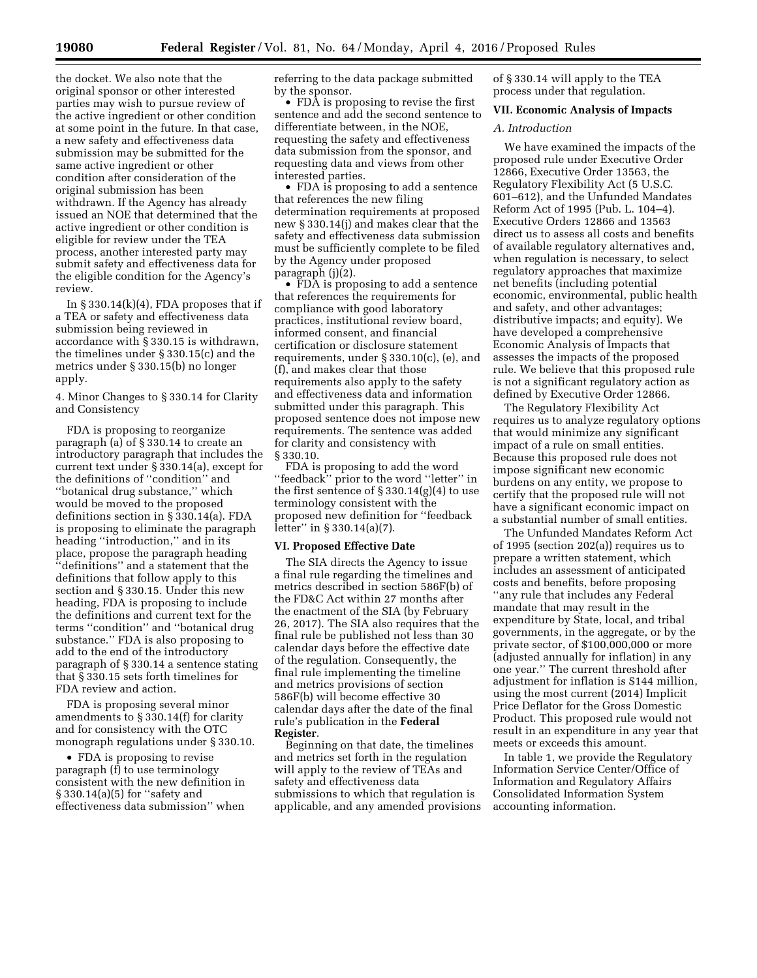the docket. We also note that the original sponsor or other interested parties may wish to pursue review of the active ingredient or other condition at some point in the future. In that case, a new safety and effectiveness data submission may be submitted for the same active ingredient or other condition after consideration of the original submission has been withdrawn. If the Agency has already issued an NOE that determined that the active ingredient or other condition is eligible for review under the TEA process, another interested party may submit safety and effectiveness data for the eligible condition for the Agency's review.

In  $\S 330.14(k)(4)$ , FDA proposes that if a TEA or safety and effectiveness data submission being reviewed in accordance with § 330.15 is withdrawn, the timelines under § 330.15(c) and the metrics under § 330.15(b) no longer apply.

4. Minor Changes to § 330.14 for Clarity and Consistency

FDA is proposing to reorganize paragraph (a) of § 330.14 to create an introductory paragraph that includes the current text under § 330.14(a), except for the definitions of ''condition'' and ''botanical drug substance,'' which would be moved to the proposed definitions section in § 330.14(a). FDA is proposing to eliminate the paragraph heading ''introduction,'' and in its place, propose the paragraph heading ''definitions'' and a statement that the definitions that follow apply to this section and § 330.15. Under this new heading, FDA is proposing to include the definitions and current text for the terms ''condition'' and ''botanical drug substance.'' FDA is also proposing to add to the end of the introductory paragraph of § 330.14 a sentence stating that § 330.15 sets forth timelines for FDA review and action.

FDA is proposing several minor amendments to § 330.14(f) for clarity and for consistency with the OTC monograph regulations under § 330.10.

• FDA is proposing to revise paragraph (f) to use terminology consistent with the new definition in § 330.14(a)(5) for ''safety and effectiveness data submission'' when

referring to the data package submitted by the sponsor.

• FDA is proposing to revise the first sentence and add the second sentence to differentiate between, in the NOE, requesting the safety and effectiveness data submission from the sponsor, and requesting data and views from other interested parties.

• FDA is proposing to add a sentence that references the new filing determination requirements at proposed new § 330.14(j) and makes clear that the safety and effectiveness data submission must be sufficiently complete to be filed by the Agency under proposed paragraph (j)(2).

• FDA is proposing to add a sentence that references the requirements for compliance with good laboratory practices, institutional review board, informed consent, and financial certification or disclosure statement requirements, under § 330.10(c), (e), and (f), and makes clear that those requirements also apply to the safety and effectiveness data and information submitted under this paragraph. This proposed sentence does not impose new requirements. The sentence was added for clarity and consistency with § 330.10.

FDA is proposing to add the word "feedback" prior to the word "letter" in the first sentence of  $\S 330.14(g)(4)$  to use terminology consistent with the proposed new definition for ''feedback letter'' in § 330.14(a)(7).

#### **VI. Proposed Effective Date**

The SIA directs the Agency to issue a final rule regarding the timelines and metrics described in section 586F(b) of the FD&C Act within 27 months after the enactment of the SIA (by February 26, 2017). The SIA also requires that the final rule be published not less than 30 calendar days before the effective date of the regulation. Consequently, the final rule implementing the timeline and metrics provisions of section 586F(b) will become effective 30 calendar days after the date of the final rule's publication in the **Federal Register**.

Beginning on that date, the timelines and metrics set forth in the regulation will apply to the review of TEAs and safety and effectiveness data submissions to which that regulation is applicable, and any amended provisions of § 330.14 will apply to the TEA process under that regulation.

## **VII. Economic Analysis of Impacts**

# *A. Introduction*

We have examined the impacts of the proposed rule under Executive Order 12866, Executive Order 13563, the Regulatory Flexibility Act (5 U.S.C. 601–612), and the Unfunded Mandates Reform Act of 1995 (Pub. L. 104–4). Executive Orders 12866 and 13563 direct us to assess all costs and benefits of available regulatory alternatives and, when regulation is necessary, to select regulatory approaches that maximize net benefits (including potential economic, environmental, public health and safety, and other advantages; distributive impacts; and equity). We have developed a comprehensive Economic Analysis of Impacts that assesses the impacts of the proposed rule. We believe that this proposed rule is not a significant regulatory action as defined by Executive Order 12866.

The Regulatory Flexibility Act requires us to analyze regulatory options that would minimize any significant impact of a rule on small entities. Because this proposed rule does not impose significant new economic burdens on any entity, we propose to certify that the proposed rule will not have a significant economic impact on a substantial number of small entities.

The Unfunded Mandates Reform Act of 1995 (section 202(a)) requires us to prepare a written statement, which includes an assessment of anticipated costs and benefits, before proposing ''any rule that includes any Federal mandate that may result in the expenditure by State, local, and tribal governments, in the aggregate, or by the private sector, of \$100,000,000 or more (adjusted annually for inflation) in any one year.'' The current threshold after adjustment for inflation is \$144 million. using the most current (2014) Implicit Price Deflator for the Gross Domestic Product. This proposed rule would not result in an expenditure in any year that meets or exceeds this amount.

In table 1, we provide the Regulatory Information Service Center/Office of Information and Regulatory Affairs Consolidated Information System accounting information.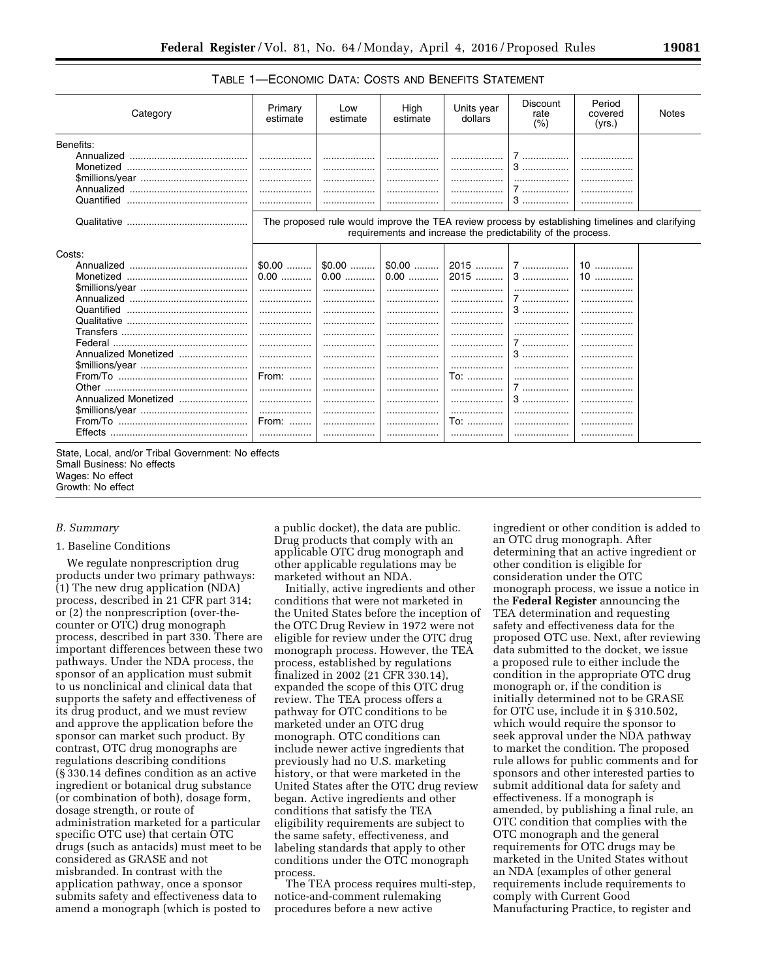# TABLE 1—ECONOMIC DATA: COSTS AND BENEFITS STATEMENT

| Category             | Primary<br>estimate                                                                                                                                             | Low<br>estimate | High<br>estimate     | Units year<br>dollars | <b>Discount</b><br>rate<br>(%) | Period<br>covered<br>(yrs.) | <b>Notes</b> |  |  |  |  |
|----------------------|-----------------------------------------------------------------------------------------------------------------------------------------------------------------|-----------------|----------------------|-----------------------|--------------------------------|-----------------------------|--------------|--|--|--|--|
| Benefits:            |                                                                                                                                                                 |                 |                      |                       |                                |                             |              |  |  |  |  |
|                      | .                                                                                                                                                               |                 |                      |                       | 7.                             |                             |              |  |  |  |  |
|                      | .                                                                                                                                                               | .               | .                    |                       | $3$                            |                             |              |  |  |  |  |
|                      |                                                                                                                                                                 |                 |                      |                       |                                |                             |              |  |  |  |  |
|                      |                                                                                                                                                                 |                 |                      |                       | 7                              |                             |              |  |  |  |  |
| Quantified           |                                                                                                                                                                 |                 | .                    |                       | 3                              |                             |              |  |  |  |  |
|                      | The proposed rule would improve the TEA review process by establishing timelines and clarifying<br>requirements and increase the predictability of the process. |                 |                      |                       |                                |                             |              |  |  |  |  |
| Costs:               |                                                                                                                                                                 |                 |                      |                       |                                |                             |              |  |  |  |  |
|                      | $$0.00$                                                                                                                                                         |                 | $$0.00$ $\vert$0.00$ |                       |                                | $10$                        |              |  |  |  |  |
|                      | $0.00$                                                                                                                                                          | $0.00$          | $0.00$               | 2015                  | $3$                            | $10$                        |              |  |  |  |  |
|                      | .                                                                                                                                                               |                 |                      |                       | .                              |                             |              |  |  |  |  |
|                      |                                                                                                                                                                 |                 |                      |                       | 7                              |                             |              |  |  |  |  |
| Quantified           |                                                                                                                                                                 | .               | .                    |                       | 3                              |                             |              |  |  |  |  |
|                      |                                                                                                                                                                 |                 |                      |                       |                                |                             |              |  |  |  |  |
|                      |                                                                                                                                                                 |                 |                      |                       | .                              |                             |              |  |  |  |  |
|                      | .                                                                                                                                                               | .               | .                    |                       | 7                              | .                           |              |  |  |  |  |
| Annualized Monetized |                                                                                                                                                                 |                 |                      | .                     | $3$                            |                             |              |  |  |  |  |
|                      |                                                                                                                                                                 |                 |                      |                       |                                |                             |              |  |  |  |  |
|                      | From:                                                                                                                                                           |                 |                      | To:                   |                                |                             |              |  |  |  |  |
|                      |                                                                                                                                                                 |                 |                      |                       | 1                              |                             |              |  |  |  |  |
| Annualized Monetized |                                                                                                                                                                 |                 |                      |                       | $3$                            |                             |              |  |  |  |  |
|                      |                                                                                                                                                                 | .               | .                    |                       |                                |                             |              |  |  |  |  |
|                      | From:                                                                                                                                                           |                 |                      | To:                   |                                |                             |              |  |  |  |  |
| Effects              |                                                                                                                                                                 |                 |                      |                       |                                |                             |              |  |  |  |  |

State, Local, and/or Tribal Government: No effects Small Business: No effects Wages: No effect

Growth: No effect

# *B. Summary*

### 1. Baseline Conditions

We regulate nonprescription drug products under two primary pathways: (1) The new drug application (NDA) process, described in 21 CFR part 314; or (2) the nonprescription (over-thecounter or OTC) drug monograph process, described in part 330. There are important differences between these two pathways. Under the NDA process, the sponsor of an application must submit to us nonclinical and clinical data that supports the safety and effectiveness of its drug product, and we must review and approve the application before the sponsor can market such product. By contrast, OTC drug monographs are regulations describing conditions (§ 330.14 defines condition as an active ingredient or botanical drug substance (or combination of both), dosage form, dosage strength, or route of administration marketed for a particular specific OTC use) that certain OTC drugs (such as antacids) must meet to be considered as GRASE and not misbranded. In contrast with the application pathway, once a sponsor submits safety and effectiveness data to amend a monograph (which is posted to

a public docket), the data are public. Drug products that comply with an applicable OTC drug monograph and other applicable regulations may be marketed without an NDA.

Initially, active ingredients and other conditions that were not marketed in the United States before the inception of the OTC Drug Review in 1972 were not eligible for review under the OTC drug monograph process. However, the TEA process, established by regulations finalized in 2002 (21 CFR 330.14), expanded the scope of this OTC drug review. The TEA process offers a pathway for OTC conditions to be marketed under an OTC drug monograph. OTC conditions can include newer active ingredients that previously had no U.S. marketing history, or that were marketed in the United States after the OTC drug review began. Active ingredients and other conditions that satisfy the TEA eligibility requirements are subject to the same safety, effectiveness, and labeling standards that apply to other conditions under the OTC monograph process.

The TEA process requires multi-step, notice-and-comment rulemaking procedures before a new active

ingredient or other condition is added to an OTC drug monograph. After determining that an active ingredient or other condition is eligible for consideration under the OTC monograph process, we issue a notice in the **Federal Register** announcing the TEA determination and requesting safety and effectiveness data for the proposed OTC use. Next, after reviewing data submitted to the docket, we issue a proposed rule to either include the condition in the appropriate OTC drug monograph or, if the condition is initially determined not to be GRASE for OTC use, include it in § 310.502, which would require the sponsor to seek approval under the NDA pathway to market the condition. The proposed rule allows for public comments and for sponsors and other interested parties to submit additional data for safety and effectiveness. If a monograph is amended, by publishing a final rule, an OTC condition that complies with the OTC monograph and the general requirements for OTC drugs may be marketed in the United States without an NDA (examples of other general requirements include requirements to comply with Current Good Manufacturing Practice, to register and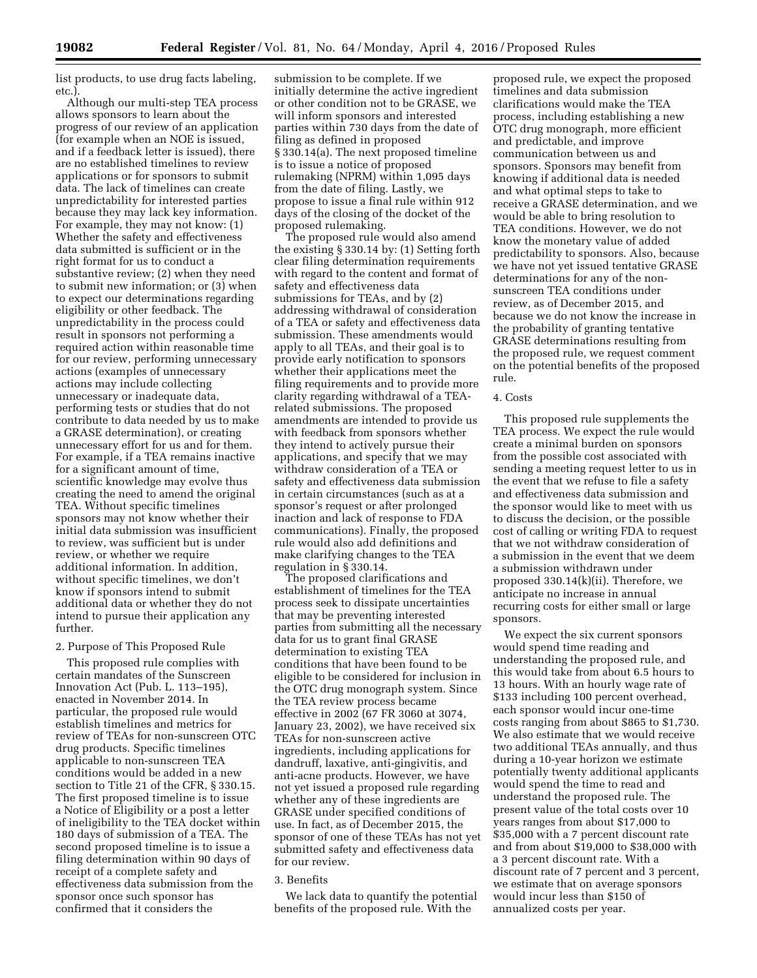list products, to use drug facts labeling, etc.).

Although our multi-step TEA process allows sponsors to learn about the progress of our review of an application (for example when an NOE is issued, and if a feedback letter is issued), there are no established timelines to review applications or for sponsors to submit data. The lack of timelines can create unpredictability for interested parties because they may lack key information. For example, they may not know: (1) Whether the safety and effectiveness data submitted is sufficient or in the right format for us to conduct a substantive review; (2) when they need to submit new information; or (3) when to expect our determinations regarding eligibility or other feedback. The unpredictability in the process could result in sponsors not performing a required action within reasonable time for our review, performing unnecessary actions (examples of unnecessary actions may include collecting unnecessary or inadequate data, performing tests or studies that do not contribute to data needed by us to make a GRASE determination), or creating unnecessary effort for us and for them. For example, if a TEA remains inactive for a significant amount of time, scientific knowledge may evolve thus creating the need to amend the original TEA. Without specific timelines sponsors may not know whether their initial data submission was insufficient to review, was sufficient but is under review, or whether we require additional information. In addition, without specific timelines, we don't know if sponsors intend to submit additional data or whether they do not intend to pursue their application any further.

### 2. Purpose of This Proposed Rule

This proposed rule complies with certain mandates of the Sunscreen Innovation Act (Pub. L. 113–195), enacted in November 2014. In particular, the proposed rule would establish timelines and metrics for review of TEAs for non-sunscreen OTC drug products. Specific timelines applicable to non-sunscreen TEA conditions would be added in a new section to Title 21 of the CFR, § 330.15. The first proposed timeline is to issue a Notice of Eligibility or a post a letter of ineligibility to the TEA docket within 180 days of submission of a TEA. The second proposed timeline is to issue a filing determination within 90 days of receipt of a complete safety and effectiveness data submission from the sponsor once such sponsor has confirmed that it considers the

submission to be complete. If we initially determine the active ingredient or other condition not to be GRASE, we will inform sponsors and interested parties within 730 days from the date of filing as defined in proposed § 330.14(a). The next proposed timeline is to issue a notice of proposed rulemaking (NPRM) within 1,095 days from the date of filing. Lastly, we propose to issue a final rule within 912 days of the closing of the docket of the proposed rulemaking.

The proposed rule would also amend the existing § 330.14 by: (1) Setting forth clear filing determination requirements with regard to the content and format of safety and effectiveness data submissions for TEAs, and by (2) addressing withdrawal of consideration of a TEA or safety and effectiveness data submission. These amendments would apply to all TEAs, and their goal is to provide early notification to sponsors whether their applications meet the filing requirements and to provide more clarity regarding withdrawal of a TEArelated submissions. The proposed amendments are intended to provide us with feedback from sponsors whether they intend to actively pursue their applications, and specify that we may withdraw consideration of a TEA or safety and effectiveness data submission in certain circumstances (such as at a sponsor's request or after prolonged inaction and lack of response to FDA communications). Finally, the proposed rule would also add definitions and make clarifying changes to the TEA regulation in § 330.14.

The proposed clarifications and establishment of timelines for the TEA process seek to dissipate uncertainties that may be preventing interested parties from submitting all the necessary data for us to grant final GRASE determination to existing TEA conditions that have been found to be eligible to be considered for inclusion in the OTC drug monograph system. Since the TEA review process became effective in 2002 (67 FR 3060 at 3074, January 23, 2002), we have received six TEAs for non-sunscreen active ingredients, including applications for dandruff, laxative, anti-gingivitis, and anti-acne products. However, we have not yet issued a proposed rule regarding whether any of these ingredients are GRASE under specified conditions of use. In fact, as of December 2015, the sponsor of one of these TEAs has not yet submitted safety and effectiveness data for our review.

#### 3. Benefits

We lack data to quantify the potential benefits of the proposed rule. With the

proposed rule, we expect the proposed timelines and data submission clarifications would make the TEA process, including establishing a new OTC drug monograph, more efficient and predictable, and improve communication between us and sponsors. Sponsors may benefit from knowing if additional data is needed and what optimal steps to take to receive a GRASE determination, and we would be able to bring resolution to TEA conditions. However, we do not know the monetary value of added predictability to sponsors. Also, because we have not yet issued tentative GRASE determinations for any of the nonsunscreen TEA conditions under review, as of December 2015, and because we do not know the increase in the probability of granting tentative GRASE determinations resulting from the proposed rule, we request comment on the potential benefits of the proposed rule.

### 4. Costs

This proposed rule supplements the TEA process. We expect the rule would create a minimal burden on sponsors from the possible cost associated with sending a meeting request letter to us in the event that we refuse to file a safety and effectiveness data submission and the sponsor would like to meet with us to discuss the decision, or the possible cost of calling or writing FDA to request that we not withdraw consideration of a submission in the event that we deem a submission withdrawn under proposed 330.14(k)(ii). Therefore, we anticipate no increase in annual recurring costs for either small or large sponsors.

We expect the six current sponsors would spend time reading and understanding the proposed rule, and this would take from about 6.5 hours to 13 hours. With an hourly wage rate of \$133 including 100 percent overhead, each sponsor would incur one-time costs ranging from about \$865 to \$1,730. We also estimate that we would receive two additional TEAs annually, and thus during a 10-year horizon we estimate potentially twenty additional applicants would spend the time to read and understand the proposed rule. The present value of the total costs over 10 years ranges from about \$17,000 to \$35,000 with a 7 percent discount rate and from about \$19,000 to \$38,000 with a 3 percent discount rate. With a discount rate of 7 percent and 3 percent, we estimate that on average sponsors would incur less than \$150 of annualized costs per year.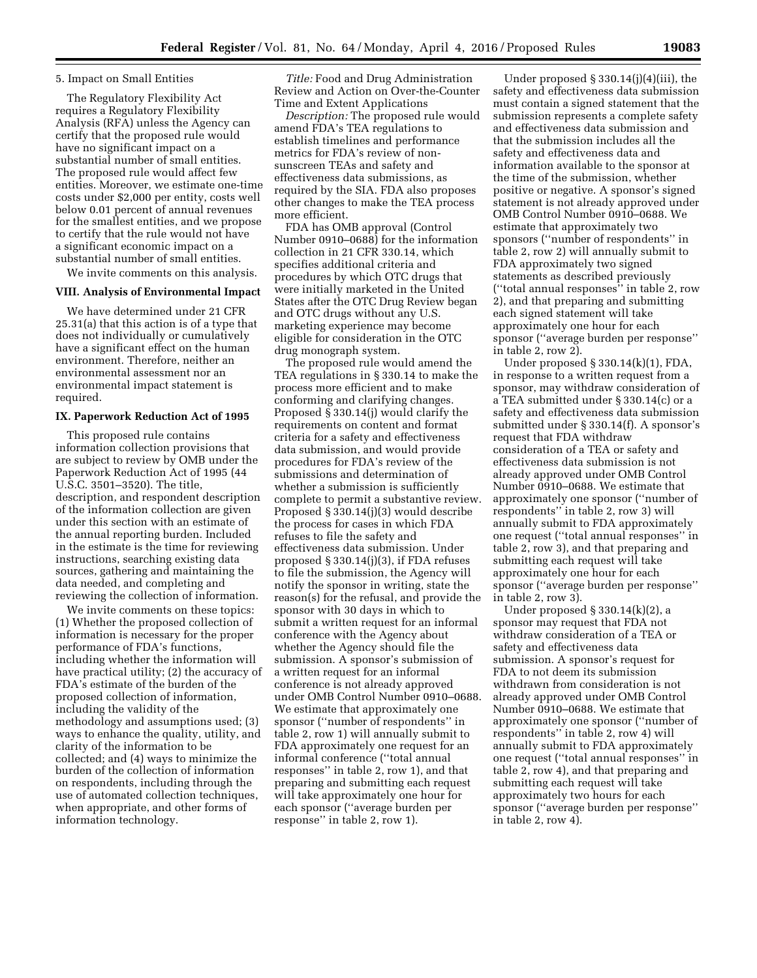### 5. Impact on Small Entities

The Regulatory Flexibility Act requires a Regulatory Flexibility Analysis (RFA) unless the Agency can certify that the proposed rule would have no significant impact on a substantial number of small entities. The proposed rule would affect few entities. Moreover, we estimate one-time costs under \$2,000 per entity, costs well below 0.01 percent of annual revenues for the smallest entities, and we propose to certify that the rule would not have a significant economic impact on a substantial number of small entities.

We invite comments on this analysis.

# **VIII. Analysis of Environmental Impact**

We have determined under 21 CFR 25.31(a) that this action is of a type that does not individually or cumulatively have a significant effect on the human environment. Therefore, neither an environmental assessment nor an environmental impact statement is required.

#### **IX. Paperwork Reduction Act of 1995**

This proposed rule contains information collection provisions that are subject to review by OMB under the Paperwork Reduction Act of 1995 (44 U.S.C. 3501–3520). The title, description, and respondent description of the information collection are given under this section with an estimate of the annual reporting burden. Included in the estimate is the time for reviewing instructions, searching existing data sources, gathering and maintaining the data needed, and completing and reviewing the collection of information.

We invite comments on these topics: (1) Whether the proposed collection of information is necessary for the proper performance of FDA's functions, including whether the information will have practical utility; (2) the accuracy of FDA's estimate of the burden of the proposed collection of information, including the validity of the methodology and assumptions used; (3) ways to enhance the quality, utility, and clarity of the information to be collected; and (4) ways to minimize the burden of the collection of information on respondents, including through the use of automated collection techniques, when appropriate, and other forms of information technology.

*Title:* Food and Drug Administration Review and Action on Over-the-Counter Time and Extent Applications

*Description:* The proposed rule would amend FDA's TEA regulations to establish timelines and performance metrics for FDA's review of nonsunscreen TEAs and safety and effectiveness data submissions, as required by the SIA. FDA also proposes other changes to make the TEA process more efficient.

FDA has OMB approval (Control Number 0910–0688) for the information collection in 21 CFR 330.14, which specifies additional criteria and procedures by which OTC drugs that were initially marketed in the United States after the OTC Drug Review began and OTC drugs without any U.S. marketing experience may become eligible for consideration in the OTC drug monograph system.

The proposed rule would amend the TEA regulations in § 330.14 to make the process more efficient and to make conforming and clarifying changes. Proposed § 330.14(j) would clarify the requirements on content and format criteria for a safety and effectiveness data submission, and would provide procedures for FDA's review of the submissions and determination of whether a submission is sufficiently complete to permit a substantive review. Proposed § 330.14(j)(3) would describe the process for cases in which FDA refuses to file the safety and effectiveness data submission. Under proposed § 330.14(j)(3), if FDA refuses to file the submission, the Agency will notify the sponsor in writing, state the reason(s) for the refusal, and provide the sponsor with 30 days in which to submit a written request for an informal conference with the Agency about whether the Agency should file the submission. A sponsor's submission of a written request for an informal conference is not already approved under OMB Control Number 0910–0688. We estimate that approximately one sponsor (''number of respondents'' in table 2, row 1) will annually submit to FDA approximately one request for an informal conference (''total annual responses'' in table 2, row 1), and that preparing and submitting each request will take approximately one hour for each sponsor (''average burden per response'' in table 2, row 1).

Under proposed § 330.14(j)(4)(iii), the safety and effectiveness data submission must contain a signed statement that the submission represents a complete safety and effectiveness data submission and that the submission includes all the safety and effectiveness data and information available to the sponsor at the time of the submission, whether positive or negative. A sponsor's signed statement is not already approved under OMB Control Number 0910–0688. We estimate that approximately two sponsors (''number of respondents'' in table 2, row 2) will annually submit to FDA approximately two signed statements as described previously (''total annual responses'' in table 2, row 2), and that preparing and submitting each signed statement will take approximately one hour for each sponsor (''average burden per response'' in table 2, row 2).

Under proposed § 330.14(k)(1), FDA, in response to a written request from a sponsor, may withdraw consideration of a TEA submitted under § 330.14(c) or a safety and effectiveness data submission submitted under § 330.14(f). A sponsor's request that FDA withdraw consideration of a TEA or safety and effectiveness data submission is not already approved under OMB Control Number 0910–0688. We estimate that approximately one sponsor (''number of respondents'' in table 2, row 3) will annually submit to FDA approximately one request (''total annual responses'' in table 2, row 3), and that preparing and submitting each request will take approximately one hour for each sponsor (''average burden per response'' in table 2, row 3).

Under proposed § 330.14(k)(2), a sponsor may request that FDA not withdraw consideration of a TEA or safety and effectiveness data submission. A sponsor's request for FDA to not deem its submission withdrawn from consideration is not already approved under OMB Control Number 0910–0688. We estimate that approximately one sponsor (''number of respondents'' in table 2, row 4) will annually submit to FDA approximately one request (''total annual responses'' in table 2, row 4), and that preparing and submitting each request will take approximately two hours for each sponsor (''average burden per response'' in table 2, row 4).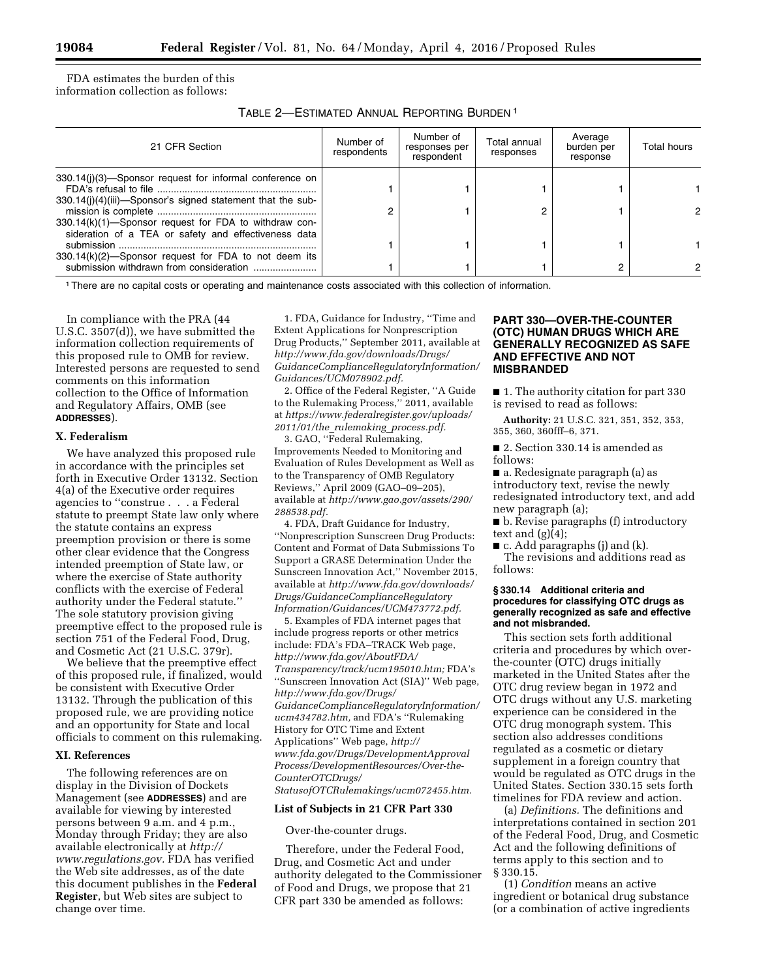FDA estimates the burden of this information collection as follows:

TABLE 2—ESTIMATED ANNUAL REPORTING BURDEN 1

| 21 CFR Section                                                                                                   | Number of<br>respondents | Number of<br>responses per<br>respondent | Total annual<br>responses | Average<br>burden per<br>response | Total hours |
|------------------------------------------------------------------------------------------------------------------|--------------------------|------------------------------------------|---------------------------|-----------------------------------|-------------|
| 330.14(i)(3)—Sponsor request for informal conference on                                                          |                          |                                          |                           |                                   |             |
| 330.14(j)(4)(iii)—Sponsor's signed statement that the sub-                                                       |                          |                                          | 2                         |                                   |             |
| $330.14(k)(1)$ -Sponsor request for FDA to withdraw con-<br>sideration of a TEA or safety and effectiveness data |                          |                                          |                           |                                   |             |
| 330.14(k)(2)-Sponsor request for FDA to not deem its                                                             |                          |                                          |                           |                                   |             |
|                                                                                                                  |                          |                                          |                           |                                   |             |

1There are no capital costs or operating and maintenance costs associated with this collection of information.

In compliance with the PRA (44 U.S.C. 3507(d)), we have submitted the information collection requirements of this proposed rule to OMB for review. Interested persons are requested to send comments on this information collection to the Office of Information and Regulatory Affairs, OMB (see **ADDRESSES**).

### **X. Federalism**

We have analyzed this proposed rule in accordance with the principles set forth in Executive Order 13132. Section 4(a) of the Executive order requires agencies to ''construe . . . a Federal statute to preempt State law only where the statute contains an express preemption provision or there is some other clear evidence that the Congress intended preemption of State law, or where the exercise of State authority conflicts with the exercise of Federal authority under the Federal statute.'' The sole statutory provision giving preemptive effect to the proposed rule is section 751 of the Federal Food, Drug, and Cosmetic Act (21 U.S.C. 379r).

We believe that the preemptive effect of this proposed rule, if finalized, would be consistent with Executive Order 13132. Through the publication of this proposed rule, we are providing notice and an opportunity for State and local officials to comment on this rulemaking.

### **XI. References**

The following references are on display in the Division of Dockets Management (see **ADDRESSES**) and are available for viewing by interested persons between 9 a.m. and 4 p.m., Monday through Friday; they are also available electronically at *[http://](http://www.regulations.gov) [www.regulations.gov.](http://www.regulations.gov)* FDA has verified the Web site addresses, as of the date this document publishes in the **Federal Register**, but Web sites are subject to change over time.

1. FDA, Guidance for Industry, ''Time and Extent Applications for Nonprescription Drug Products,'' September 2011, available at *[http://www.fda.gov/downloads/Drugs/](http://www.fda.gov/downloads/Drugs/GuidanceComplianceRegulatoryInformation/Guidances/UCM078902.pdf) [GuidanceComplianceRegulatoryInformation/](http://www.fda.gov/downloads/Drugs/GuidanceComplianceRegulatoryInformation/Guidances/UCM078902.pdf) [Guidances/UCM078902.pdf.](http://www.fda.gov/downloads/Drugs/GuidanceComplianceRegulatoryInformation/Guidances/UCM078902.pdf)* 

2. Office of the Federal Register, ''A Guide to the Rulemaking Process,'' 2011, available at *[https://www.federalregister.gov/uploads/](https://www.federalregister.gov/uploads/2011/01/the_rulemaking_process.pdf) 2011/01/the*\_*rulemaking*\_*[process.pdf.](https://www.federalregister.gov/uploads/2011/01/the_rulemaking_process.pdf)* 

3. GAO, ''Federal Rulemaking, Improvements Needed to Monitoring and Evaluation of Rules Development as Well as to the Transparency of OMB Regulatory Reviews,'' April 2009 (GAO–09–205), available at *[http://www.gao.gov/assets/290/](http://www.gao.gov/assets/290/288538.pdf) [288538.pdf.](http://www.gao.gov/assets/290/288538.pdf)* 

4. FDA, Draft Guidance for Industry, ''Nonprescription Sunscreen Drug Products: Content and Format of Data Submissions To Support a GRASE Determination Under the Sunscreen Innovation Act,'' November 2015, available at *[http://www.fda.gov/downloads/](http://www.fda.gov/downloads/Drugs/GuidanceComplianceRegulatoryInformation/Guidances/UCM473772.pdf) [Drugs/GuidanceComplianceRegulatory](http://www.fda.gov/downloads/Drugs/GuidanceComplianceRegulatoryInformation/Guidances/UCM473772.pdf) [Information/Guidances/UCM473772.pdf.](http://www.fda.gov/downloads/Drugs/GuidanceComplianceRegulatoryInformation/Guidances/UCM473772.pdf)* 

5. Examples of FDA internet pages that include progress reports or other metrics include: FDA's FDA–TRACK Web page, *[http://www.fda.gov/AboutFDA/](http://www.fda.gov/AboutFDA/Transparency/track/ucm195010.htm) [Transparency/track/ucm195010.htm;](http://www.fda.gov/AboutFDA/Transparency/track/ucm195010.htm)* FDA's ''Sunscreen Innovation Act (SIA)'' Web page, *[http://www.fda.gov/Drugs/](http://www.fda.gov/Drugs/GuidanceComplianceRegulatoryInformation/ucm434782.htm) [GuidanceComplianceRegulatoryInformation/](http://www.fda.gov/Drugs/GuidanceComplianceRegulatoryInformation/ucm434782.htm) [ucm434782.htm,](http://www.fda.gov/Drugs/GuidanceComplianceRegulatoryInformation/ucm434782.htm)* and FDA's ''Rulemaking History for OTC Time and Extent Applications'' Web page, *[http://](http://www.fda.gov/Drugs/DevelopmentApprovalProcess/DevelopmentResources/Over-the-CounterOTCDrugs/StatusofOTCRulemakings/ucm072455.htm) [www.fda.gov/Drugs/DevelopmentApproval](http://www.fda.gov/Drugs/DevelopmentApprovalProcess/DevelopmentResources/Over-the-CounterOTCDrugs/StatusofOTCRulemakings/ucm072455.htm) [Process/DevelopmentResources/Over-the-](http://www.fda.gov/Drugs/DevelopmentApprovalProcess/DevelopmentResources/Over-the-CounterOTCDrugs/StatusofOTCRulemakings/ucm072455.htm)[CounterOTCDrugs/](http://www.fda.gov/Drugs/DevelopmentApprovalProcess/DevelopmentResources/Over-the-CounterOTCDrugs/StatusofOTCRulemakings/ucm072455.htm) [StatusofOTCRulemakings/ucm072455.htm.](http://www.fda.gov/Drugs/DevelopmentApprovalProcess/DevelopmentResources/Over-the-CounterOTCDrugs/StatusofOTCRulemakings/ucm072455.htm)* 

### **List of Subjects in 21 CFR Part 330**

Over-the-counter drugs.

Therefore, under the Federal Food, Drug, and Cosmetic Act and under authority delegated to the Commissioner of Food and Drugs, we propose that 21 CFR part 330 be amended as follows:

# **PART 330—OVER-THE-COUNTER (OTC) HUMAN DRUGS WHICH ARE GENERALLY RECOGNIZED AS SAFE AND EFFECTIVE AND NOT MISBRANDED**

■ 1. The authority citation for part 330 is revised to read as follows:

**Authority:** 21 U.S.C. 321, 351, 352, 353, 355, 360, 360fff–6, 371.

■ 2. Section 330.14 is amended as follows:

■ a. Redesignate paragraph (a) as introductory text, revise the newly redesignated introductory text, and add new paragraph (a);

■ b. Revise paragraphs (f) introductory text and  $(g)(4)$ ;

 $\blacksquare$  c. Add paragraphs (j) and (k).

The revisions and additions read as follows:

### **§ 330.14 Additional criteria and procedures for classifying OTC drugs as generally recognized as safe and effective and not misbranded.**

This section sets forth additional criteria and procedures by which overthe-counter (OTC) drugs initially marketed in the United States after the OTC drug review began in 1972 and OTC drugs without any U.S. marketing experience can be considered in the OTC drug monograph system. This section also addresses conditions regulated as a cosmetic or dietary supplement in a foreign country that would be regulated as OTC drugs in the United States. Section 330.15 sets forth timelines for FDA review and action.

(a) *Definitions.* The definitions and interpretations contained in section 201 of the Federal Food, Drug, and Cosmetic Act and the following definitions of terms apply to this section and to § 330.15.

(1) *Condition* means an active ingredient or botanical drug substance (or a combination of active ingredients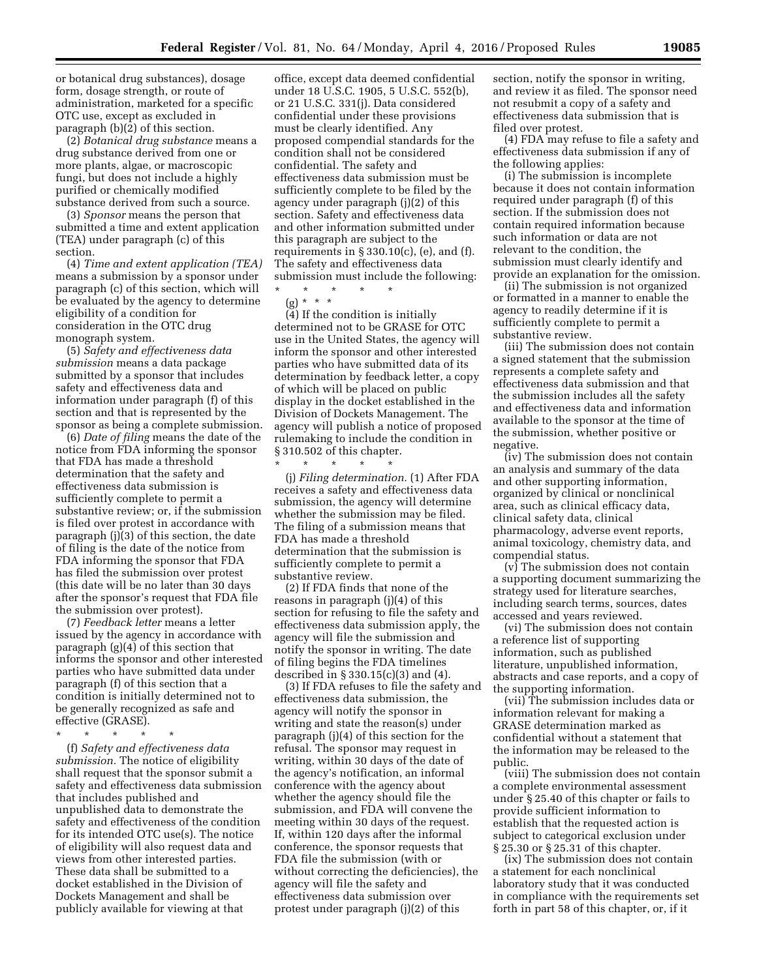or botanical drug substances), dosage form, dosage strength, or route of administration, marketed for a specific OTC use, except as excluded in paragraph (b)(2) of this section.

(2) *Botanical drug substance* means a drug substance derived from one or more plants, algae, or macroscopic fungi, but does not include a highly purified or chemically modified substance derived from such a source.

(3) *Sponsor* means the person that submitted a time and extent application (TEA) under paragraph (c) of this section.

(4) *Time and extent application (TEA)*  means a submission by a sponsor under paragraph (c) of this section, which will be evaluated by the agency to determine eligibility of a condition for consideration in the OTC drug monograph system.

(5) *Safety and effectiveness data submission* means a data package submitted by a sponsor that includes safety and effectiveness data and information under paragraph (f) of this section and that is represented by the sponsor as being a complete submission.

(6) *Date of filing* means the date of the notice from FDA informing the sponsor that FDA has made a threshold determination that the safety and effectiveness data submission is sufficiently complete to permit a substantive review; or, if the submission is filed over protest in accordance with paragraph (j)(3) of this section, the date of filing is the date of the notice from FDA informing the sponsor that FDA has filed the submission over protest (this date will be no later than 30 days after the sponsor's request that FDA file the submission over protest).

(7) *Feedback letter* means a letter issued by the agency in accordance with paragraph (g)(4) of this section that informs the sponsor and other interested parties who have submitted data under paragraph (f) of this section that a condition is initially determined not to be generally recognized as safe and effective (GRASE).

\* \* \* \* \*

(f) *Safety and effectiveness data submission.* The notice of eligibility shall request that the sponsor submit a safety and effectiveness data submission that includes published and unpublished data to demonstrate the safety and effectiveness of the condition for its intended OTC use(s). The notice of eligibility will also request data and views from other interested parties. These data shall be submitted to a docket established in the Division of Dockets Management and shall be publicly available for viewing at that

office, except data deemed confidential under 18 U.S.C. 1905, 5 U.S.C. 552(b), or 21 U.S.C. 331(j). Data considered confidential under these provisions must be clearly identified. Any proposed compendial standards for the condition shall not be considered confidential. The safety and effectiveness data submission must be sufficiently complete to be filed by the agency under paragraph (j)(2) of this section. Safety and effectiveness data and other information submitted under this paragraph are subject to the requirements in  $\S 330.10(c)$ , (e), and (f). The safety and effectiveness data submission must include the following:

\* \* \* \* \* (g) \* \* \*

(4) If the condition is initially determined not to be GRASE for OTC use in the United States, the agency will inform the sponsor and other interested parties who have submitted data of its determination by feedback letter, a copy of which will be placed on public display in the docket established in the Division of Dockets Management. The agency will publish a notice of proposed rulemaking to include the condition in § 310.502 of this chapter.

\* \* \* \* \* (j) *Filing determination.* (1) After FDA receives a safety and effectiveness data submission, the agency will determine whether the submission may be filed. The filing of a submission means that FDA has made a threshold determination that the submission is sufficiently complete to permit a substantive review.

(2) If FDA finds that none of the reasons in paragraph (j)(4) of this section for refusing to file the safety and effectiveness data submission apply, the agency will file the submission and notify the sponsor in writing. The date of filing begins the FDA timelines described in § 330.15(c)(3) and (4).

(3) If FDA refuses to file the safety and effectiveness data submission, the agency will notify the sponsor in writing and state the reason(s) under paragraph (j)(4) of this section for the refusal. The sponsor may request in writing, within 30 days of the date of the agency's notification, an informal conference with the agency about whether the agency should file the submission, and FDA will convene the meeting within 30 days of the request. If, within 120 days after the informal conference, the sponsor requests that FDA file the submission (with or without correcting the deficiencies), the agency will file the safety and effectiveness data submission over protest under paragraph (j)(2) of this

section, notify the sponsor in writing, and review it as filed. The sponsor need not resubmit a copy of a safety and effectiveness data submission that is filed over protest.

(4) FDA may refuse to file a safety and effectiveness data submission if any of the following applies:

(i) The submission is incomplete because it does not contain information required under paragraph (f) of this section. If the submission does not contain required information because such information or data are not relevant to the condition, the submission must clearly identify and provide an explanation for the omission.

(ii) The submission is not organized or formatted in a manner to enable the agency to readily determine if it is sufficiently complete to permit a substantive review.

(iii) The submission does not contain a signed statement that the submission represents a complete safety and effectiveness data submission and that the submission includes all the safety and effectiveness data and information available to the sponsor at the time of the submission, whether positive or negative.

(iv) The submission does not contain an analysis and summary of the data and other supporting information, organized by clinical or nonclinical area, such as clinical efficacy data, clinical safety data, clinical pharmacology, adverse event reports, animal toxicology, chemistry data, and compendial status.

(v) The submission does not contain a supporting document summarizing the strategy used for literature searches, including search terms, sources, dates accessed and years reviewed.

(vi) The submission does not contain a reference list of supporting information, such as published literature, unpublished information, abstracts and case reports, and a copy of the supporting information.

(vii) The submission includes data or information relevant for making a GRASE determination marked as confidential without a statement that the information may be released to the public.

(viii) The submission does not contain a complete environmental assessment under § 25.40 of this chapter or fails to provide sufficient information to establish that the requested action is subject to categorical exclusion under § 25.30 or § 25.31 of this chapter.

(ix) The submission does not contain a statement for each nonclinical laboratory study that it was conducted in compliance with the requirements set forth in part 58 of this chapter, or, if it